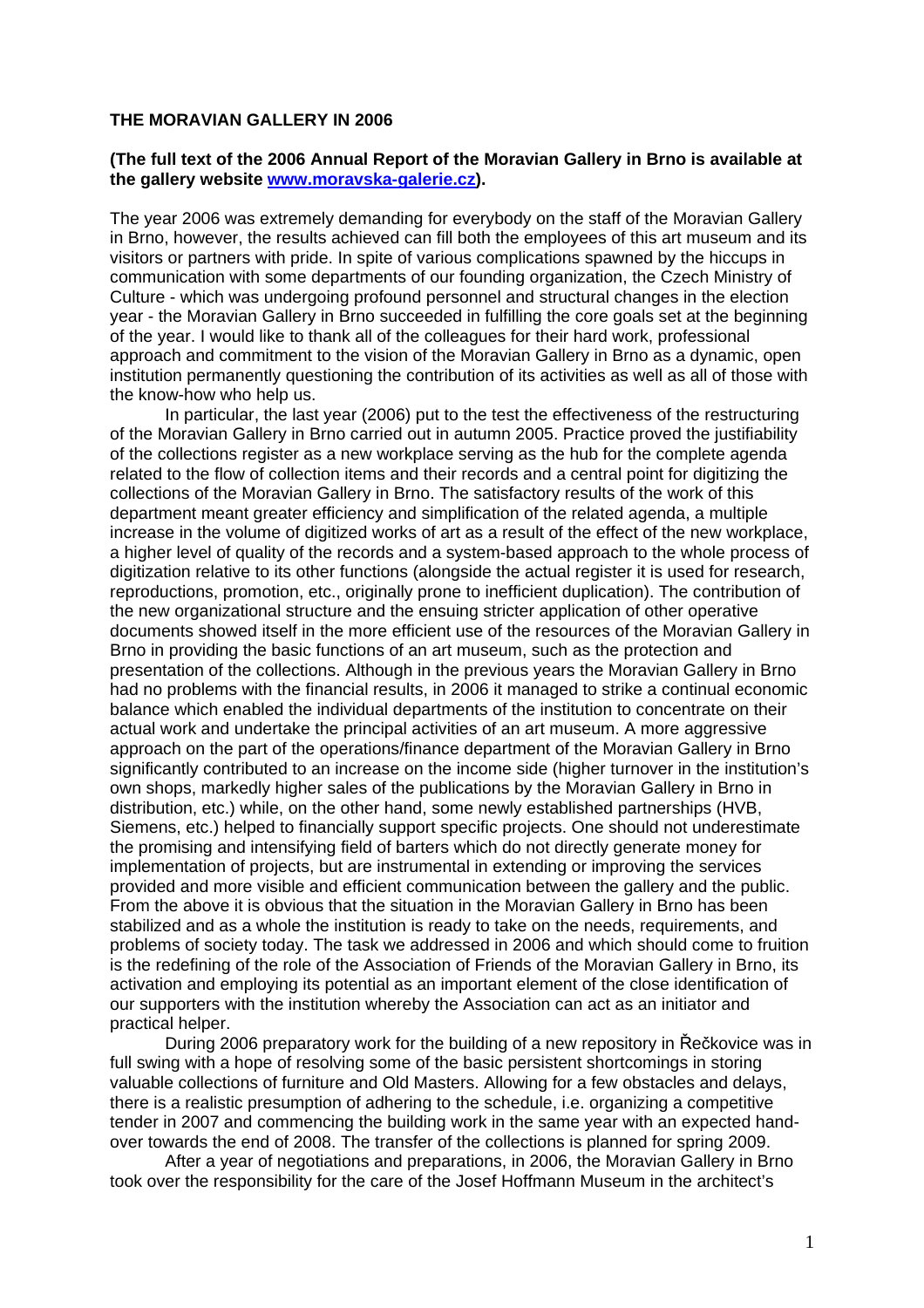#### **THE MORAVIAN GALLERY IN 2006**

#### **(The full text of the 2006 Annual Report of the Moravian Gallery in Brno is available at the gallery website [www.moravska-galerie.cz](http://www.moravska-galerie.cz/)).**

The year 2006 was extremely demanding for everybody on the staff of the Moravian Gallery in Brno, however, the results achieved can fill both the employees of this art museum and its visitors or partners with pride. In spite of various complications spawned by the hiccups in communication with some departments of our founding organization, the Czech Ministry of Culture - which was undergoing profound personnel and structural changes in the election year - the Moravian Gallery in Brno succeeded in fulfilling the core goals set at the beginning of the year. I would like to thank all of the colleagues for their hard work, professional approach and commitment to the vision of the Moravian Gallery in Brno as a dynamic, open institution permanently questioning the contribution of its activities as well as all of those with the know-how who help us.

In particular, the last year (2006) put to the test the effectiveness of the restructuring of the Moravian Gallery in Brno carried out in autumn 2005. Practice proved the justifiability of the collections register as a new workplace serving as the hub for the complete agenda related to the flow of collection items and their records and a central point for digitizing the collections of the Moravian Gallery in Brno. The satisfactory results of the work of this department meant greater efficiency and simplification of the related agenda, a multiple increase in the volume of digitized works of art as a result of the effect of the new workplace, a higher level of quality of the records and a system-based approach to the whole process of digitization relative to its other functions (alongside the actual register it is used for research, reproductions, promotion, etc., originally prone to inefficient duplication). The contribution of the new organizational structure and the ensuing stricter application of other operative documents showed itself in the more efficient use of the resources of the Moravian Gallery in Brno in providing the basic functions of an art museum, such as the protection and presentation of the collections. Although in the previous years the Moravian Gallery in Brno had no problems with the financial results, in 2006 it managed to strike a continual economic balance which enabled the individual departments of the institution to concentrate on their actual work and undertake the principal activities of an art museum. A more aggressive approach on the part of the operations/finance department of the Moravian Gallery in Brno significantly contributed to an increase on the income side (higher turnover in the institution's own shops, markedly higher sales of the publications by the Moravian Gallery in Brno in distribution, etc.) while, on the other hand, some newly established partnerships (HVB, Siemens, etc.) helped to financially support specific projects. One should not underestimate the promising and intensifying field of barters which do not directly generate money for implementation of projects, but are instrumental in extending or improving the services provided and more visible and efficient communication between the gallery and the public. From the above it is obvious that the situation in the Moravian Gallery in Brno has been stabilized and as a whole the institution is ready to take on the needs, requirements, and problems of society today. The task we addressed in 2006 and which should come to fruition is the redefining of the role of the Association of Friends of the Moravian Gallery in Brno, its activation and employing its potential as an important element of the close identification of our supporters with the institution whereby the Association can act as an initiator and practical helper.

During 2006 preparatory work for the building of a new repository in Řečkovice was in full swing with a hope of resolving some of the basic persistent shortcomings in storing valuable collections of furniture and Old Masters. Allowing for a few obstacles and delays, there is a realistic presumption of adhering to the schedule, i.e. organizing a competitive tender in 2007 and commencing the building work in the same year with an expected handover towards the end of 2008. The transfer of the collections is planned for spring 2009.

After a year of negotiations and preparations, in 2006, the Moravian Gallery in Brno took over the responsibility for the care of the Josef Hoffmann Museum in the architect's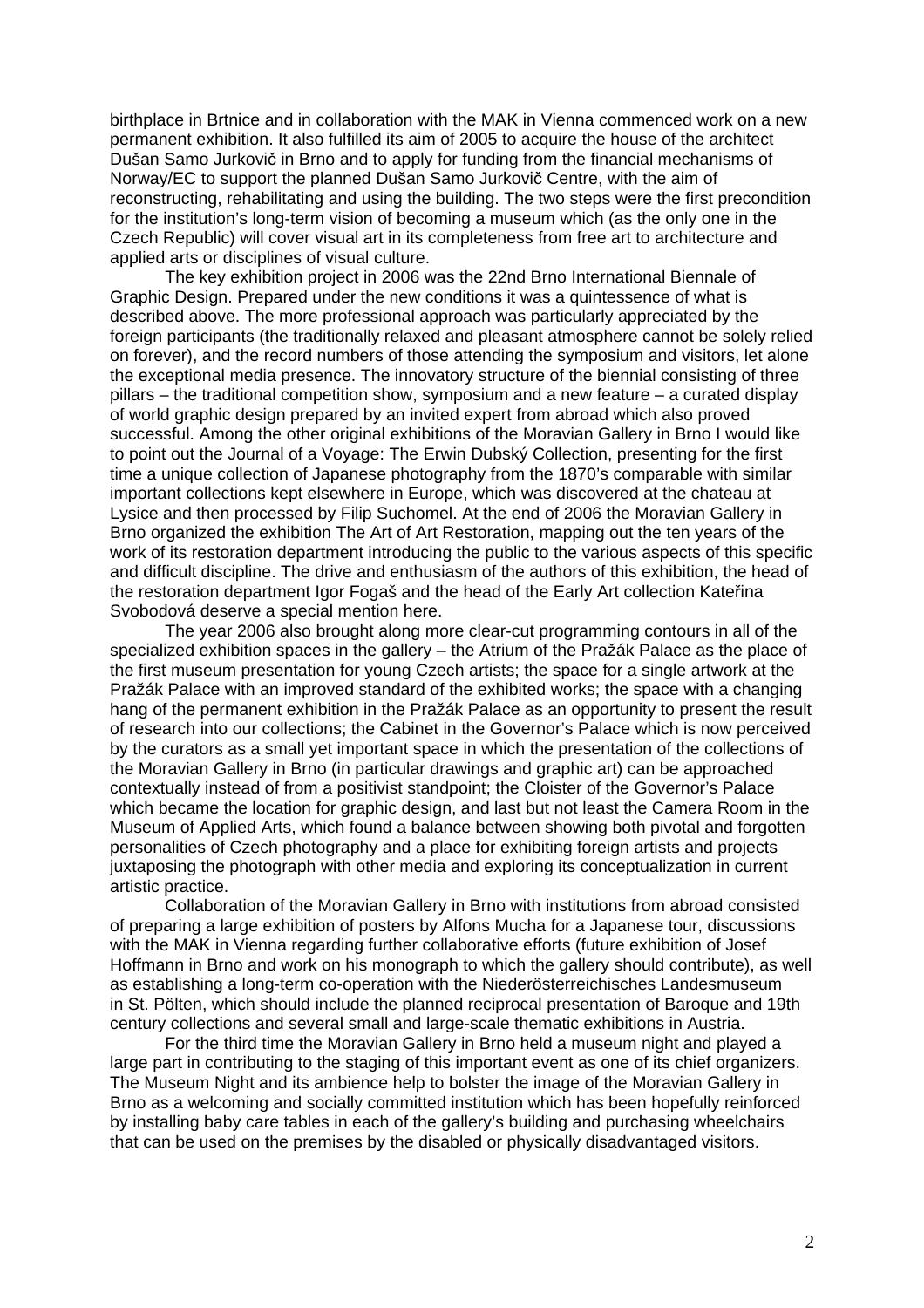birthplace in Brtnice and in collaboration with the MAK in Vienna commenced work on a new permanent exhibition. It also fulfilled its aim of 2005 to acquire the house of the architect Dušan Samo Jurkovič in Brno and to apply for funding from the financial mechanisms of Norway/EC to support the planned Dušan Samo Jurkovič Centre, with the aim of reconstructing, rehabilitating and using the building. The two steps were the first precondition for the institution's long-term vision of becoming a museum which (as the only one in the Czech Republic) will cover visual art in its completeness from free art to architecture and applied arts or disciplines of visual culture.

The key exhibition project in 2006 was the 22nd Brno International Biennale of Graphic Design. Prepared under the new conditions it was a quintessence of what is described above. The more professional approach was particularly appreciated by the foreign participants (the traditionally relaxed and pleasant atmosphere cannot be solely relied on forever), and the record numbers of those attending the symposium and visitors, let alone the exceptional media presence. The innovatory structure of the biennial consisting of three pillars – the traditional competition show, symposium and a new feature – a curated display of world graphic design prepared by an invited expert from abroad which also proved successful. Among the other original exhibitions of the Moravian Gallery in Brno I would like to point out the Journal of a Voyage: The Erwin Dubský Collection, presenting for the first time a unique collection of Japanese photography from the 1870's comparable with similar important collections kept elsewhere in Europe, which was discovered at the chateau at Lysice and then processed by Filip Suchomel. At the end of 2006 the Moravian Gallery in Brno organized the exhibition The Art of Art Restoration, mapping out the ten years of the work of its restoration department introducing the public to the various aspects of this specific and difficult discipline. The drive and enthusiasm of the authors of this exhibition, the head of the restoration department Igor Fogaš and the head of the Early Art collection Kateřina Svobodová deserve a special mention here.

The year 2006 also brought along more clear-cut programming contours in all of the specialized exhibition spaces in the gallery – the Atrium of the Pražák Palace as the place of the first museum presentation for young Czech artists; the space for a single artwork at the Pražák Palace with an improved standard of the exhibited works; the space with a changing hang of the permanent exhibition in the Pražák Palace as an opportunity to present the result of research into our collections; the Cabinet in the Governor's Palace which is now perceived by the curators as a small yet important space in which the presentation of the collections of the Moravian Gallery in Brno (in particular drawings and graphic art) can be approached contextually instead of from a positivist standpoint; the Cloister of the Governor's Palace which became the location for graphic design, and last but not least the Camera Room in the Museum of Applied Arts, which found a balance between showing both pivotal and forgotten personalities of Czech photography and a place for exhibiting foreign artists and projects juxtaposing the photograph with other media and exploring its conceptualization in current artistic practice.

Collaboration of the Moravian Gallery in Brno with institutions from abroad consisted of preparing a large exhibition of posters by Alfons Mucha for a Japanese tour, discussions with the MAK in Vienna regarding further collaborative efforts (future exhibition of Josef Hoffmann in Brno and work on his monograph to which the gallery should contribute), as well as establishing a long-term co-operation with the Niederösterreichisches Landesmuseum in St. Pölten, which should include the planned reciprocal presentation of Baroque and 19th century collections and several small and large-scale thematic exhibitions in Austria.

For the third time the Moravian Gallery in Brno held a museum night and played a large part in contributing to the staging of this important event as one of its chief organizers. The Museum Night and its ambience help to bolster the image of the Moravian Gallery in Brno as a welcoming and socially committed institution which has been hopefully reinforced by installing baby care tables in each of the gallery's building and purchasing wheelchairs that can be used on the premises by the disabled or physically disadvantaged visitors.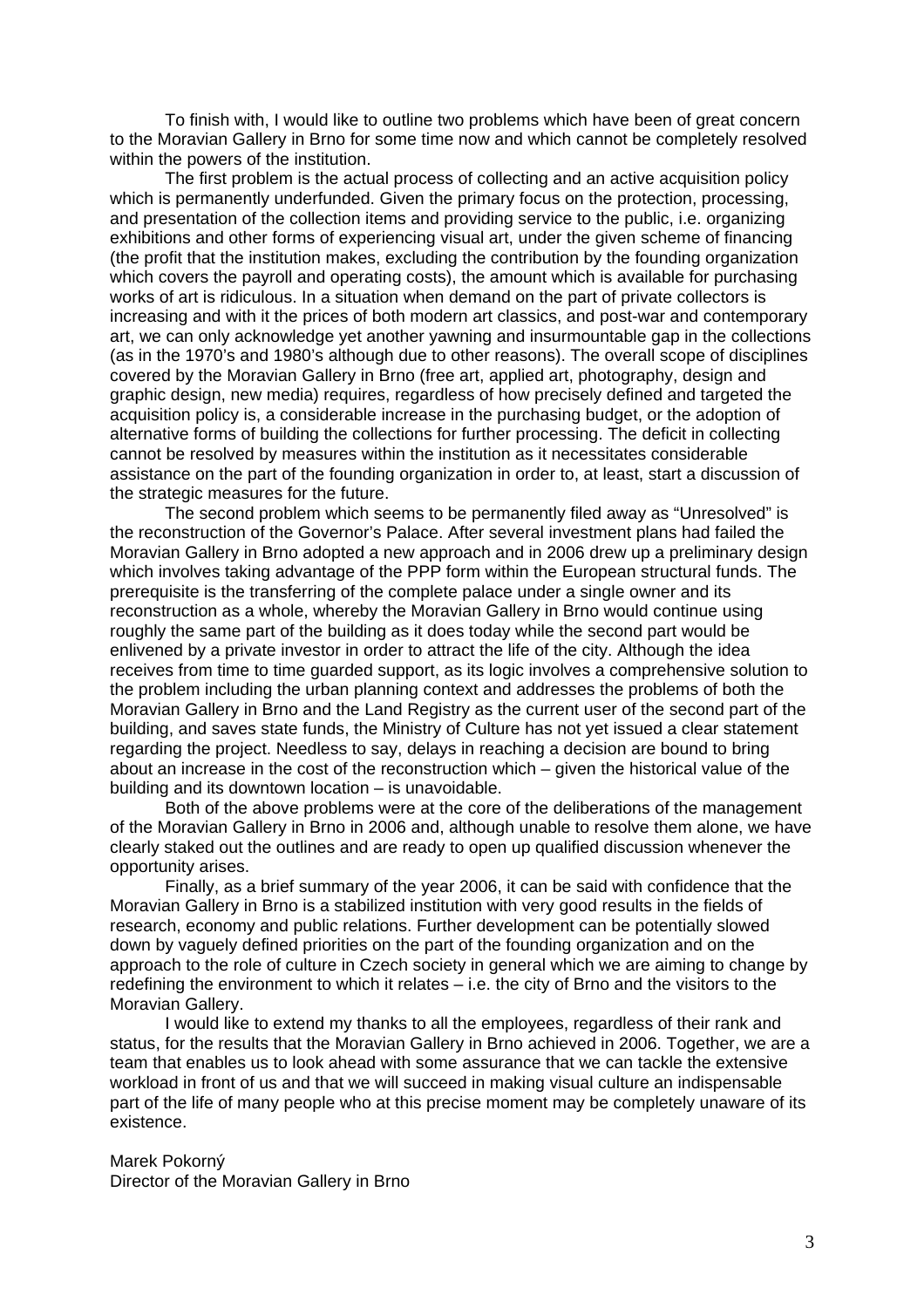To finish with, I would like to outline two problems which have been of great concern to the Moravian Gallery in Brno for some time now and which cannot be completely resolved within the powers of the institution.

The first problem is the actual process of collecting and an active acquisition policy which is permanently underfunded. Given the primary focus on the protection, processing, and presentation of the collection items and providing service to the public, i.e. organizing exhibitions and other forms of experiencing visual art, under the given scheme of financing (the profit that the institution makes, excluding the contribution by the founding organization which covers the payroll and operating costs), the amount which is available for purchasing works of art is ridiculous. In a situation when demand on the part of private collectors is increasing and with it the prices of both modern art classics, and post-war and contemporary art, we can only acknowledge yet another yawning and insurmountable gap in the collections (as in the 1970's and 1980's although due to other reasons). The overall scope of disciplines covered by the Moravian Gallery in Brno (free art, applied art, photography, design and graphic design, new media) requires, regardless of how precisely defined and targeted the acquisition policy is, a considerable increase in the purchasing budget, or the adoption of alternative forms of building the collections for further processing. The deficit in collecting cannot be resolved by measures within the institution as it necessitates considerable assistance on the part of the founding organization in order to, at least, start a discussion of the strategic measures for the future.

The second problem which seems to be permanently filed away as "Unresolved" is the reconstruction of the Governor's Palace. After several investment plans had failed the Moravian Gallery in Brno adopted a new approach and in 2006 drew up a preliminary design which involves taking advantage of the PPP form within the European structural funds. The prerequisite is the transferring of the complete palace under a single owner and its reconstruction as a whole, whereby the Moravian Gallery in Brno would continue using roughly the same part of the building as it does today while the second part would be enlivened by a private investor in order to attract the life of the city. Although the idea receives from time to time guarded support, as its logic involves a comprehensive solution to the problem including the urban planning context and addresses the problems of both the Moravian Gallery in Brno and the Land Registry as the current user of the second part of the building, and saves state funds, the Ministry of Culture has not yet issued a clear statement regarding the project. Needless to say, delays in reaching a decision are bound to bring about an increase in the cost of the reconstruction which – given the historical value of the building and its downtown location – is unavoidable.

Both of the above problems were at the core of the deliberations of the management of the Moravian Gallery in Brno in 2006 and, although unable to resolve them alone, we have clearly staked out the outlines and are ready to open up qualified discussion whenever the opportunity arises.

Finally, as a brief summary of the year 2006, it can be said with confidence that the Moravian Gallery in Brno is a stabilized institution with very good results in the fields of research, economy and public relations. Further development can be potentially slowed down by vaguely defined priorities on the part of the founding organization and on the approach to the role of culture in Czech society in general which we are aiming to change by redefining the environment to which it relates – i.e. the city of Brno and the visitors to the Moravian Gallery.

I would like to extend my thanks to all the employees, regardless of their rank and status, for the results that the Moravian Gallery in Brno achieved in 2006. Together, we are a team that enables us to look ahead with some assurance that we can tackle the extensive workload in front of us and that we will succeed in making visual culture an indispensable part of the life of many people who at this precise moment may be completely unaware of its existence.

Marek Pokorný

Director of the Moravian Gallery in Brno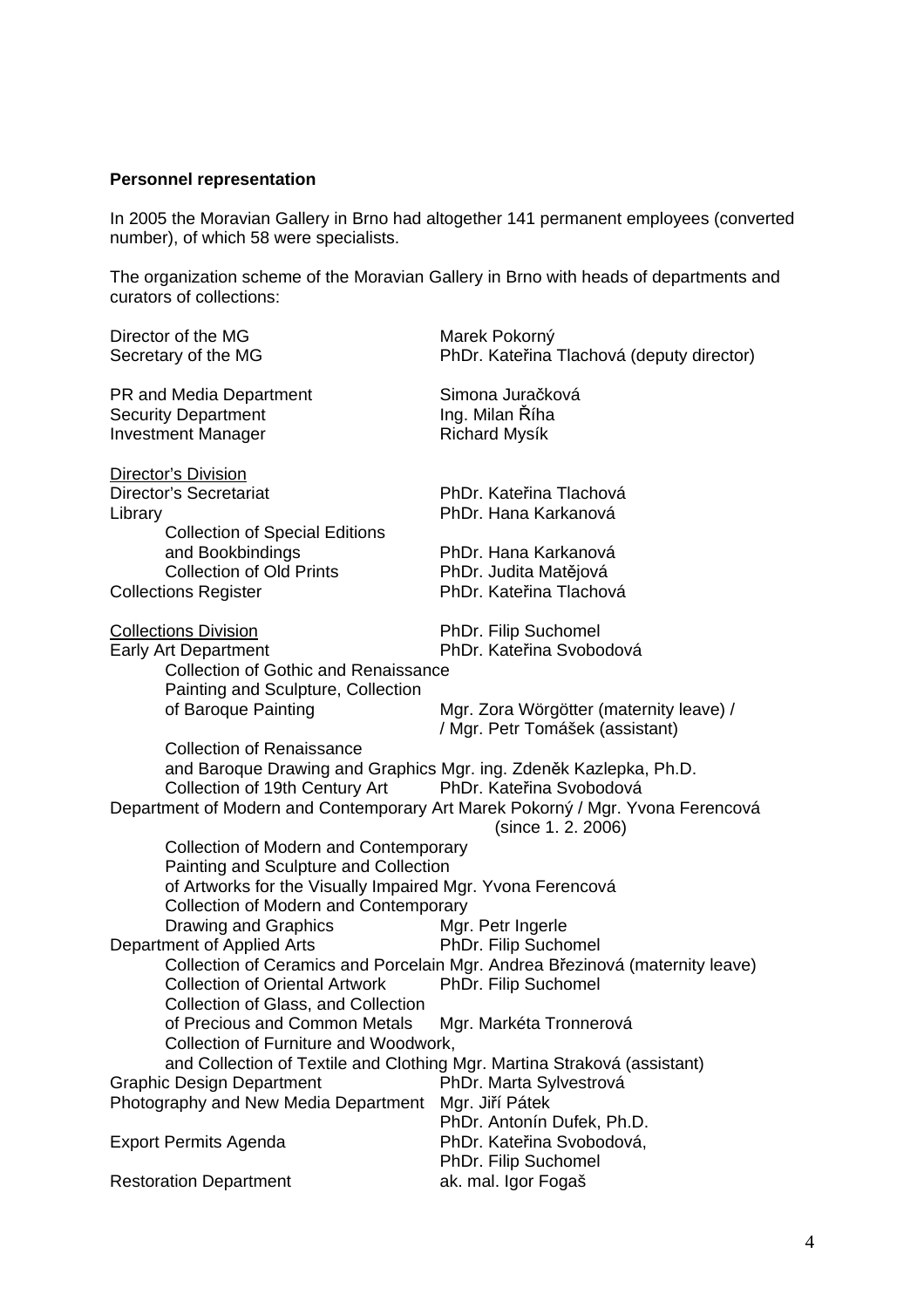# **Personnel representation**

In 2005 the Moravian Gallery in Brno had altogether 141 permanent employees (converted number), of which 58 were specialists.

The organization scheme of the Moravian Gallery in Brno with heads of departments and curators of collections:

| Director of the MG<br>Secretary of the MG                                                                                                                                                                     | Marek Pokorný<br>PhDr. Kateřina Tlachová (deputy director)                                                                                                                                                                          |
|---------------------------------------------------------------------------------------------------------------------------------------------------------------------------------------------------------------|-------------------------------------------------------------------------------------------------------------------------------------------------------------------------------------------------------------------------------------|
| PR and Media Department<br><b>Security Department</b><br><b>Investment Manager</b>                                                                                                                            | Simona Juračková<br>Ing. Milan Říha<br><b>Richard Mysík</b>                                                                                                                                                                         |
| <b>Director's Division</b><br><b>Director's Secretariat</b><br>Library<br><b>Collection of Special Editions</b><br>and Bookbindings<br><b>Collection of Old Prints</b><br><b>Collections Register</b>         | PhDr. Kateřina Tlachová<br>PhDr. Hana Karkanová<br>PhDr. Hana Karkanová<br>PhDr. Judita Matějová<br>PhDr. Kateřina Tlachová                                                                                                         |
| <b>Collections Division</b><br><b>Early Art Department</b><br><b>Collection of Gothic and Renaissance</b><br>Painting and Sculpture, Collection<br>of Baroque Painting                                        | PhDr. Filip Suchomel<br>PhDr. Kateřina Svobodová<br>Mgr. Zora Wörgötter (maternity leave) /                                                                                                                                         |
| <b>Collection of Renaissance</b><br>and Baroque Drawing and Graphics Mgr. ing. Zdeněk Kazlepka, Ph.D.<br>Collection of 19th Century Art                                                                       | / Mgr. Petr Tomášek (assistant)<br>PhDr. Kateřina Svobodová<br>Department of Modern and Contemporary Art Marek Pokorný / Mgr. Yvona Ferencová<br>(since 1.2. 2006)                                                                  |
| Collection of Modern and Contemporary<br>Painting and Sculpture and Collection<br>of Artworks for the Visually Impaired Mgr. Yvona Ferencová<br>Collection of Modern and Contemporary<br>Drawing and Graphics | Mgr. Petr Ingerle                                                                                                                                                                                                                   |
| Department of Applied Arts<br><b>Collection of Oriental Artwork</b><br>Collection of Glass, and Collection<br>of Precious and Common Metals<br>Collection of Furniture and Woodwork,                          | PhDr. Filip Suchomel<br>Collection of Ceramics and Porcelain Mgr. Andrea Březinová (maternity leave)<br>PhDr. Filip Suchomel<br>Mgr. Markéta Tronnerová<br>and Collection of Textile and Clothing Mgr. Martina Straková (assistant) |
| <b>Graphic Design Department</b><br>Photography and New Media Department                                                                                                                                      | PhDr. Marta Sylvestrová<br>Mgr. Jiří Pátek<br>PhDr. Antonín Dufek, Ph.D.                                                                                                                                                            |
| <b>Export Permits Agenda</b>                                                                                                                                                                                  | PhDr. Kateřina Svobodová,<br>PhDr. Filip Suchomel                                                                                                                                                                                   |
| <b>Restoration Department</b>                                                                                                                                                                                 | ak. mal. Igor Fogaš                                                                                                                                                                                                                 |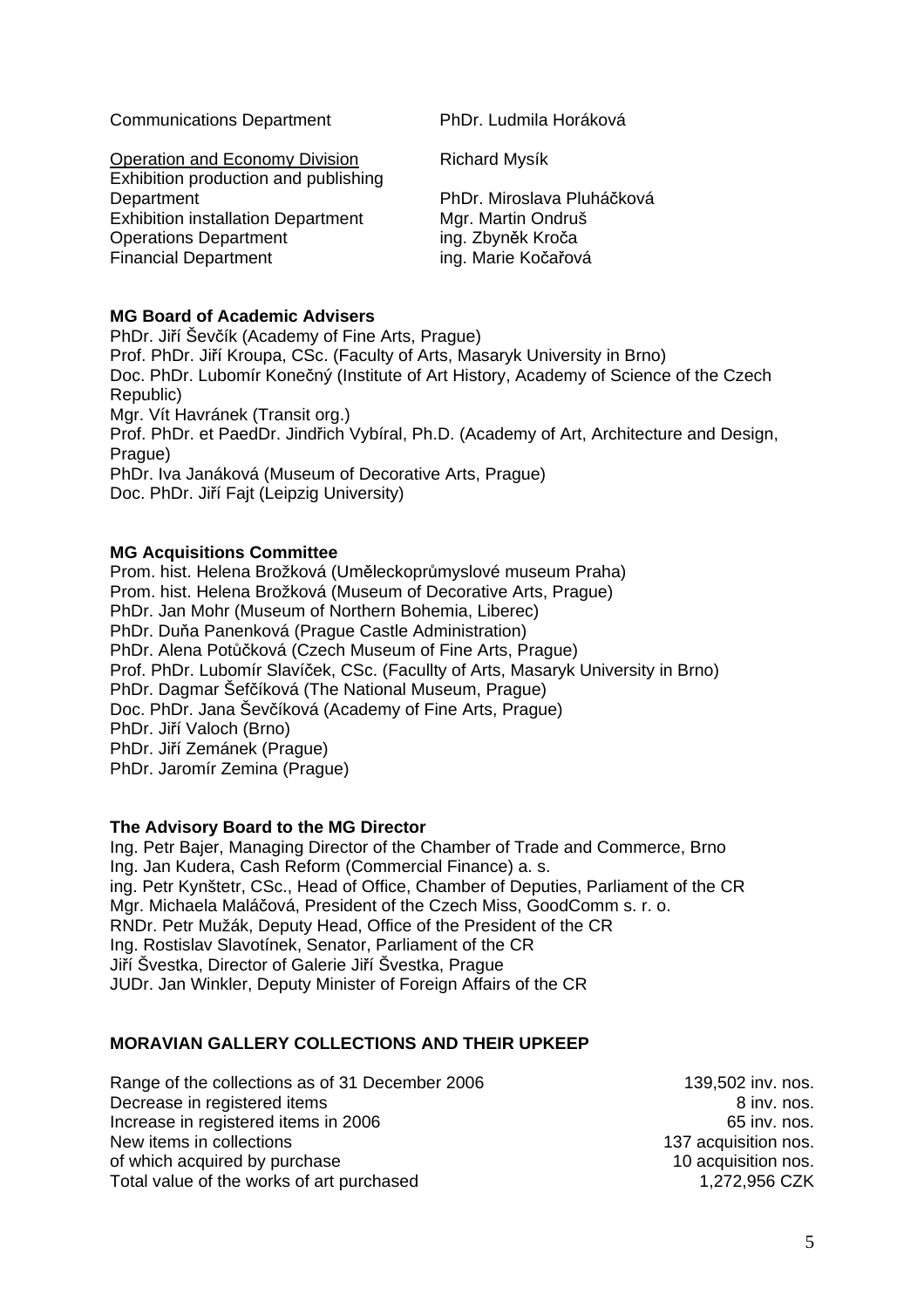Communications Department PhDr. Ludmila Horáková

**Operation and Economy Division Richard Mysík** Exhibition production and publishing Department PhDr. Miroslava Pluháčková Exhibition installation Department Mgr. Martin Ondruš Operations Department ing. Zbyněk Kroča Financial Department ing. Marie Kočařová

# **MG Board of Academic Advisers**

PhDr. Jiří Ševčík (Academy of Fine Arts, Prague) Prof. PhDr. Jiří Kroupa, CSc. (Faculty of Arts, Masaryk University in Brno) Doc. PhDr. Lubomír Konečný (Institute of Art History, Academy of Science of the Czech Republic) Mgr. Vít Havránek (Transit org.) Prof. PhDr. et PaedDr. Jindřich Vybíral, Ph.D. (Academy of Art, Architecture and Design, Prague) PhDr. Iva Janáková (Museum of Decorative Arts, Prague) Doc. PhDr. Jiří Fajt (Leipzig University)

# **MG Acquisitions Committee**

Prom. hist. Helena Brožková (Uměleckoprůmyslové museum Praha) Prom. hist. Helena Brožková (Museum of Decorative Arts, Prague) PhDr. Jan Mohr (Museum of Northern Bohemia, Liberec) PhDr. Duňa Panenková (Prague Castle Administration) PhDr. Alena Potůčková (Czech Museum of Fine Arts, Prague) Prof. PhDr. Lubomír Slavíček, CSc. (Facullty of Arts, Masaryk University in Brno) PhDr. Dagmar Šefčíková (The National Museum, Prague) Doc. PhDr. Jana Ševčíková (Academy of Fine Arts, Prague) PhDr. Jiří Valoch (Brno) PhDr. Jiří Zemánek (Prague) PhDr. Jaromír Zemina (Prague)

#### **The Advisory Board to the MG Director**

Ing. Petr Bajer, Managing Director of the Chamber of Trade and Commerce, Brno Ing. Jan Kudera, Cash Reform (Commercial Finance) a. s. ing. Petr Kynštetr, CSc., Head of Office, Chamber of Deputies, Parliament of the CR Mgr. Michaela Maláčová, President of the Czech Miss, GoodComm s. r. o. RNDr. Petr Mužák, Deputy Head, Office of the President of the CR Ing. Rostislav Slavotínek, Senator, Parliament of the CR Jiří Švestka, Director of Galerie Jiří Švestka, Prague JUDr. Jan Winkler, Deputy Minister of Foreign Affairs of the CR

#### **MORAVIAN GALLERY COLLECTIONS AND THEIR UPKEEP**

| Range of the collections as of 31 December 2006 | 139,502 inv. nos.    |
|-------------------------------------------------|----------------------|
| Decrease in registered items                    | 8 inv. nos.          |
| Increase in registered items in 2006            | 65 inv. nos.         |
| New items in collections                        | 137 acquisition nos. |
| of which acquired by purchase                   | 10 acquisition nos.  |
| Total value of the works of art purchased       | 1,272,956 CZK        |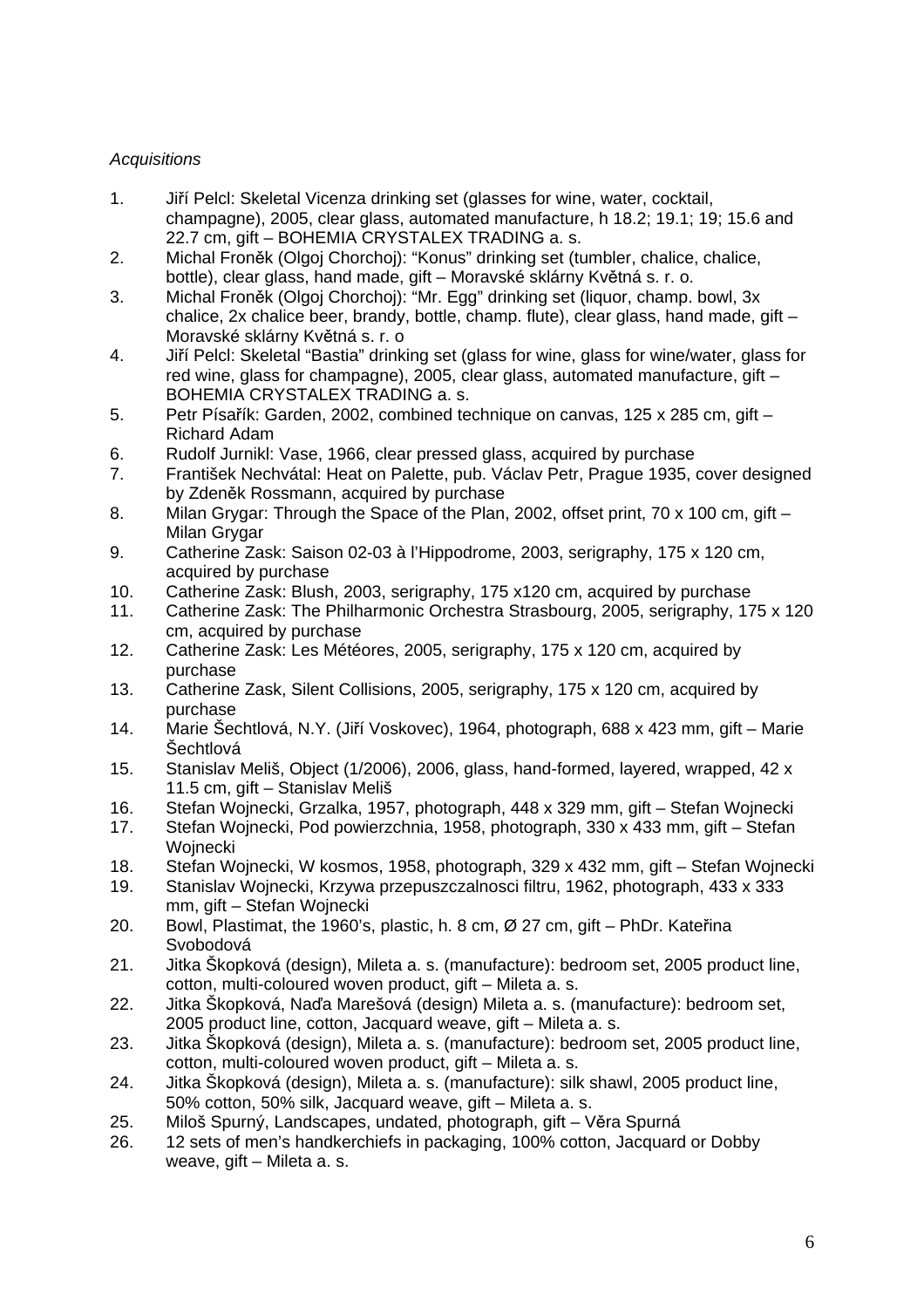# *Acquisitions*

- 1. Jiří Pelcl: Skeletal Vicenza drinking set (glasses for wine, water, cocktail, champagne), 2005, clear glass, automated manufacture, h 18.2; 19.1; 19; 15.6 and 22.7 cm, gift – BOHEMIA CRYSTALEX TRADING a. s.
- 2. Michal Froněk (Olgoj Chorchoj): "Konus" drinking set (tumbler, chalice, chalice, bottle), clear glass, hand made, gift – Moravské sklárny Květná s. r. o.
- 3. Michal Froněk (Olgoj Chorchoj): "Mr. Egg" drinking set (liquor, champ. bowl, 3x chalice, 2x chalice beer, brandy, bottle, champ. flute), clear glass, hand made, gift – Moravské sklárny Květná s. r. o
- 4. Jiří Pelcl: Skeletal "Bastia" drinking set (glass for wine, glass for wine/water, glass for red wine, glass for champagne), 2005, clear glass, automated manufacture, gift – BOHEMIA CRYSTALEX TRADING a. s.
- 5. Petr Písařík: Garden, 2002, combined technique on canvas, 125 x 285 cm, gift Richard Adam
- 6. Rudolf Jurnikl: Vase, 1966, clear pressed glass, acquired by purchase
- 7. František Nechvátal: Heat on Palette, pub. Václav Petr, Prague 1935, cover designed by Zdeněk Rossmann, acquired by purchase
- 8. Milan Grygar: Through the Space of the Plan, 2002, offset print, 70 x 100 cm, gift Milan Grygar
- 9. Catherine Zask: Saison 02-03 à l'Hippodrome, 2003, serigraphy, 175 x 120 cm, acquired by purchase
- 10. Catherine Zask: Blush, 2003, serigraphy, 175 x120 cm, acquired by purchase
- 11. Catherine Zask: The Philharmonic Orchestra Strasbourg, 2005, serigraphy, 175 x 120 cm, acquired by purchase
- 12. Catherine Zask: Les Météores, 2005, serigraphy, 175 x 120 cm, acquired by purchase
- 13. Catherine Zask, Silent Collisions, 2005, serigraphy, 175 x 120 cm, acquired by purchase
- 14. Marie Šechtlová, N.Y. (Jiří Voskovec), 1964, photograph, 688 x 423 mm, gift Marie Šechtlová
- 15. Stanislav Meliš, Object (1/2006), 2006, glass, hand-formed, layered, wrapped, 42 x 11.5 cm, gift – Stanislav Meliš
- 16. Stefan Wojnecki, Grzalka, 1957, photograph, 448 x 329 mm, gift Stefan Wojnecki
- 17. Stefan Wojnecki, Pod powierzchnia, 1958, photograph, 330 x 433 mm, gift Stefan **Woinecki**
- 18. Stefan Wojnecki, W kosmos, 1958, photograph, 329 x 432 mm, gift Stefan Wojnecki
- 19. Stanislav Wojnecki, Krzywa przepuszczalnosci filtru, 1962, photograph, 433 x 333 mm, gift – Stefan Wojnecki
- 20. Bowl, Plastimat, the 1960's, plastic, h. 8 cm, Ø 27 cm, gift PhDr. Kateřina Svobodová
- 21. Jitka Škopková (design), Mileta a. s. (manufacture): bedroom set, 2005 product line, cotton, multi-coloured woven product, gift – Mileta a. s.
- 22. Jitka Škopková, Naďa Marešová (design) Mileta a. s. (manufacture): bedroom set, 2005 product line, cotton, Jacquard weave, gift – Mileta a. s.
- 23. Jitka Škopková (design), Mileta a. s. (manufacture): bedroom set, 2005 product line, cotton, multi-coloured woven product, gift – Mileta a. s.
- 24. Jitka Škopková (design), Mileta a. s. (manufacture): silk shawl, 2005 product line, 50% cotton, 50% silk, Jacquard weave, gift – Mileta a. s.
- 25. Miloš Spurný, Landscapes, undated, photograph, gift Věra Spurná
- 26. 12 sets of men's handkerchiefs in packaging, 100% cotton, Jacquard or Dobby weave, gift – Mileta a. s.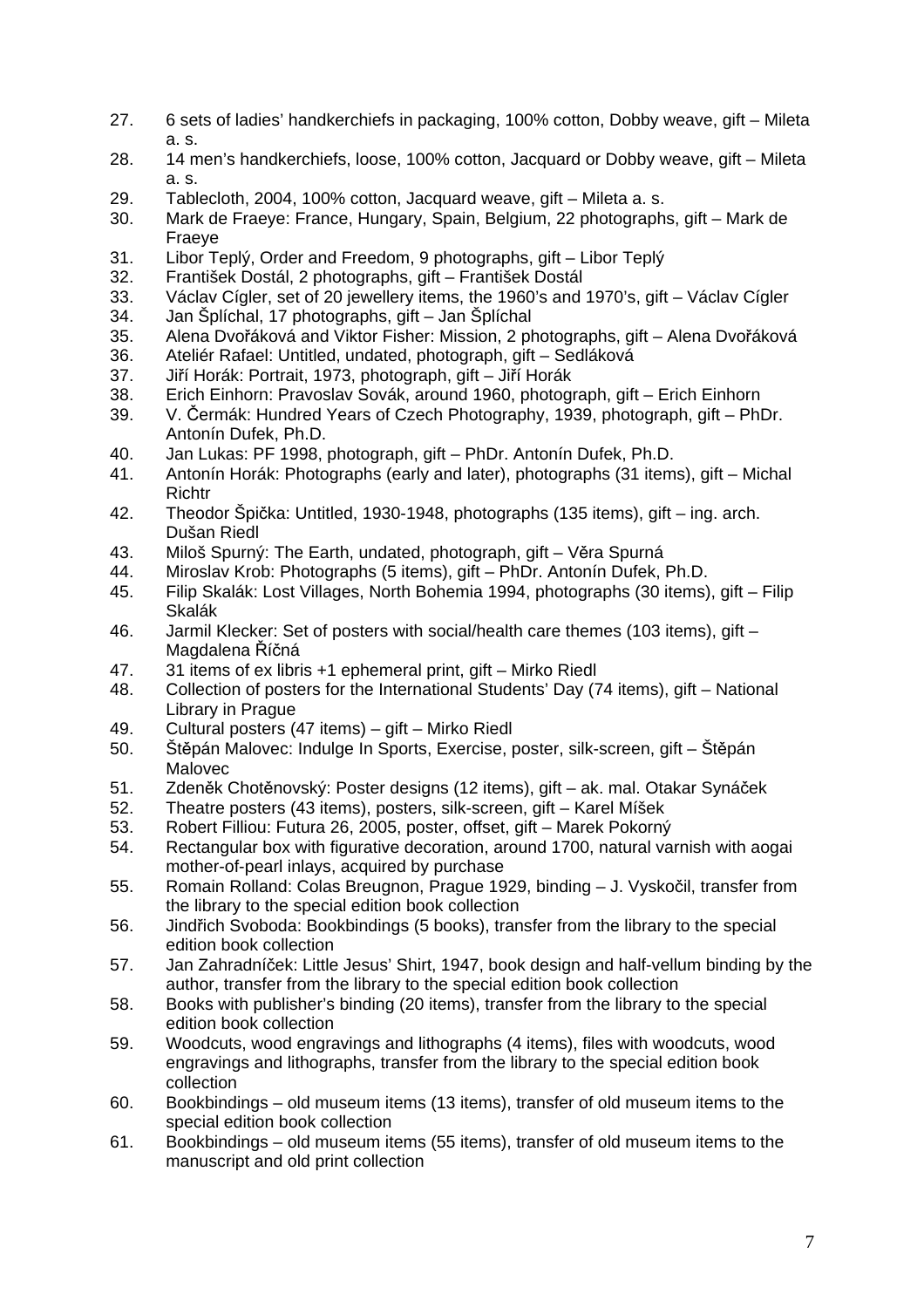- 27. 6 sets of ladies' handkerchiefs in packaging, 100% cotton, Dobby weave, gift Mileta a. s.
- 28. 14 men's handkerchiefs, loose, 100% cotton, Jacquard or Dobby weave, gift Mileta a. s.
- 29. Tablecloth, 2004, 100% cotton, Jacquard weave, gift Mileta a. s.
- 30. Mark de Fraeye: France, Hungary, Spain, Belgium, 22 photographs, gift Mark de Fraeye
- 31. Libor Teplý, Order and Freedom, 9 photographs, gift Libor Teplý
- 32. František Dostál, 2 photographs, gift František Dostál
- 33. Václav Cígler, set of 20 jewellery items, the 1960's and 1970's, gift Václav Cígler
- 34. Jan Šplíchal, 17 photographs, gift Jan Šplíchal
- 35. Alena Dvořáková and Viktor Fisher: Mission, 2 photographs, gift Alena Dvořáková
- 36. Ateliér Rafael: Untitled, undated, photograph, gift Sedláková<br>37. Jiří Horák: Portrait. 1973. photograph. gift Jiří Horák
- 37. Jiří Horák: Portrait, 1973, photograph, gift Jiří Horák
- 38. Erich Einhorn: Pravoslav Sovák, around 1960, photograph, gift Erich Einhorn
- 39. V. Čermák: Hundred Years of Czech Photography, 1939, photograph, gift PhDr. Antonín Dufek, Ph.D.
- 40. Jan Lukas: PF 1998, photograph, gift PhDr. Antonín Dufek, Ph.D.
- 41. Antonín Horák: Photographs (early and later), photographs (31 items), gift Michal Richtr
- 42. Theodor Špička: Untitled, 1930-1948, photographs (135 items), gift ing. arch. Dušan Riedl
- 43. Miloš Spurný: The Earth, undated, photograph, gift Věra Spurná
- 44. Miroslav Krob: Photographs (5 items), gift PhDr. Antonín Dufek, Ph.D.
- 45. Filip Skalák: Lost Villages, North Bohemia 1994, photographs (30 items), gift Filip Skalák
- 46. Jarmil Klecker: Set of posters with social/health care themes (103 items), gift Magdalena Říčná
- 47. 31 items of ex libris +1 ephemeral print, gift Mirko Riedl
- 48. Collection of posters for the International Students' Day (74 items), gift National Library in Prague
- 49. Cultural posters (47 items) gift Mirko Riedl
- 50. Štěpán Malovec: Indulge In Sports, Exercise, poster, silk-screen, gift Štěpán Malovec
- 51. Zdeněk Chotěnovský: Poster designs (12 items), gift ak. mal. Otakar Synáček
- 52. Theatre posters (43 items), posters, silk-screen, gift Karel Míšek
- 53. Robert Filliou: Futura 26, 2005, poster, offset, gift Marek Pokorný
- 54. Rectangular box with figurative decoration, around 1700, natural varnish with aogai mother-of-pearl inlays, acquired by purchase
- 55. Romain Rolland: Colas Breugnon, Prague 1929, binding J. Vyskočil, transfer from the library to the special edition book collection
- 56. Jindřich Svoboda: Bookbindings (5 books), transfer from the library to the special edition book collection
- 57. Jan Zahradníček: Little Jesus' Shirt, 1947, book design and half-vellum binding by the author, transfer from the library to the special edition book collection
- 58. Books with publisher's binding (20 items), transfer from the library to the special edition book collection
- 59. Woodcuts, wood engravings and lithographs (4 items), files with woodcuts, wood engravings and lithographs, transfer from the library to the special edition book collection
- 60. Bookbindings old museum items (13 items), transfer of old museum items to the special edition book collection
- 61. Bookbindings old museum items (55 items), transfer of old museum items to the manuscript and old print collection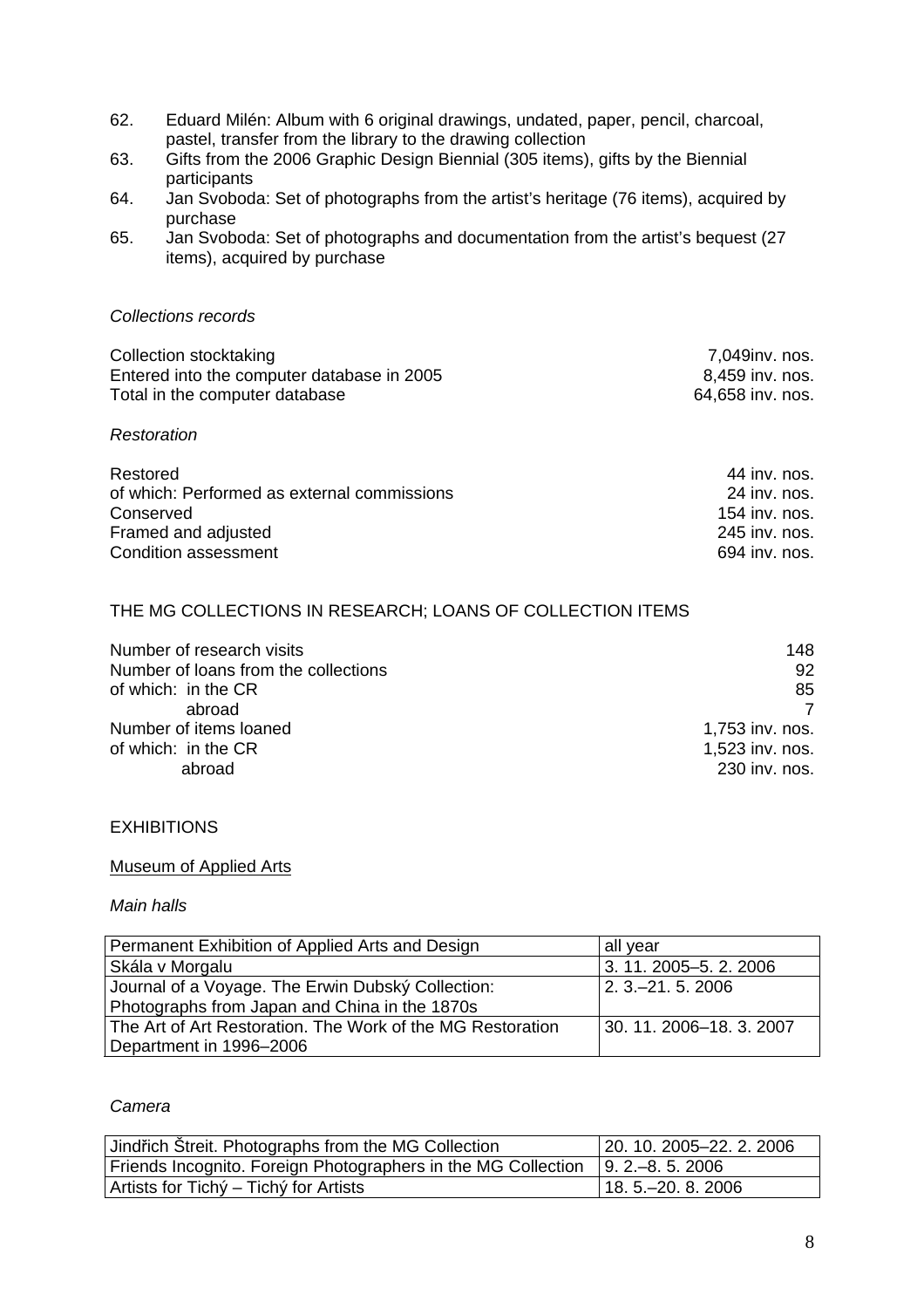- 62. Eduard Milén: Album with 6 original drawings, undated, paper, pencil, charcoal, pastel, transfer from the library to the drawing collection
- 63. Gifts from the 2006 Graphic Design Biennial (305 items), gifts by the Biennial participants
- 64. Jan Svoboda: Set of photographs from the artist's heritage (76 items), acquired by purchase
- 65. Jan Svoboda: Set of photographs and documentation from the artist's bequest (27 items), acquired by purchase

#### *Collections records*

| Collection stocktaking                     | 7,049inv. nos.   |
|--------------------------------------------|------------------|
| Entered into the computer database in 2005 | 8,459 inv. nos.  |
| Total in the computer database             | 64,658 inv. nos. |
| Restoration                                |                  |

| Restored                                    | 44 inv. nos.  |
|---------------------------------------------|---------------|
| of which: Performed as external commissions | 24 inv. nos.  |
| Conserved                                   | 154 inv. nos. |
| Framed and adjusted                         | 245 inv. nos. |
| Condition assessment                        | 694 inv. nos. |

# THE MG COLLECTIONS IN RESEARCH; LOANS OF COLLECTION ITEMS

| Number of research visits            | 148             |
|--------------------------------------|-----------------|
| Number of loans from the collections | 92              |
| of which: in the CR                  | 85              |
| abroad                               |                 |
| Number of items loaned               | 1,753 inv. nos. |
| of which: in the CR                  | 1,523 inv. nos. |
| abroad                               | 230 inv. nos.   |

#### **EXHIBITIONS**

#### Museum of Applied Arts

#### *Main halls*

| Permanent Exhibition of Applied Arts and Design            | all year                 |
|------------------------------------------------------------|--------------------------|
| Skála v Morgalu                                            | 3. 11. 2005–5. 2. 2006   |
| Journal of a Voyage. The Erwin Dubský Collection:          | $2.3 - 21.5.2006$        |
| Photographs from Japan and China in the 1870s              |                          |
| The Art of Art Restoration. The Work of the MG Restoration | 30. 11. 2006–18. 3. 2007 |
| Department in 1996-2006                                    |                          |

# *Camera*

| Jindřich Streit. Photographs from the MG Collection                              | 20. 10. 2005–22. 2. 2006 |
|----------------------------------------------------------------------------------|--------------------------|
| Friends Incognito. Foreign Photographers in the MG Collection   9. 2.–8. 5. 2006 |                          |
| Artists for Tichý – Tichý for Artists                                            | $18.5 - 20.82006$        |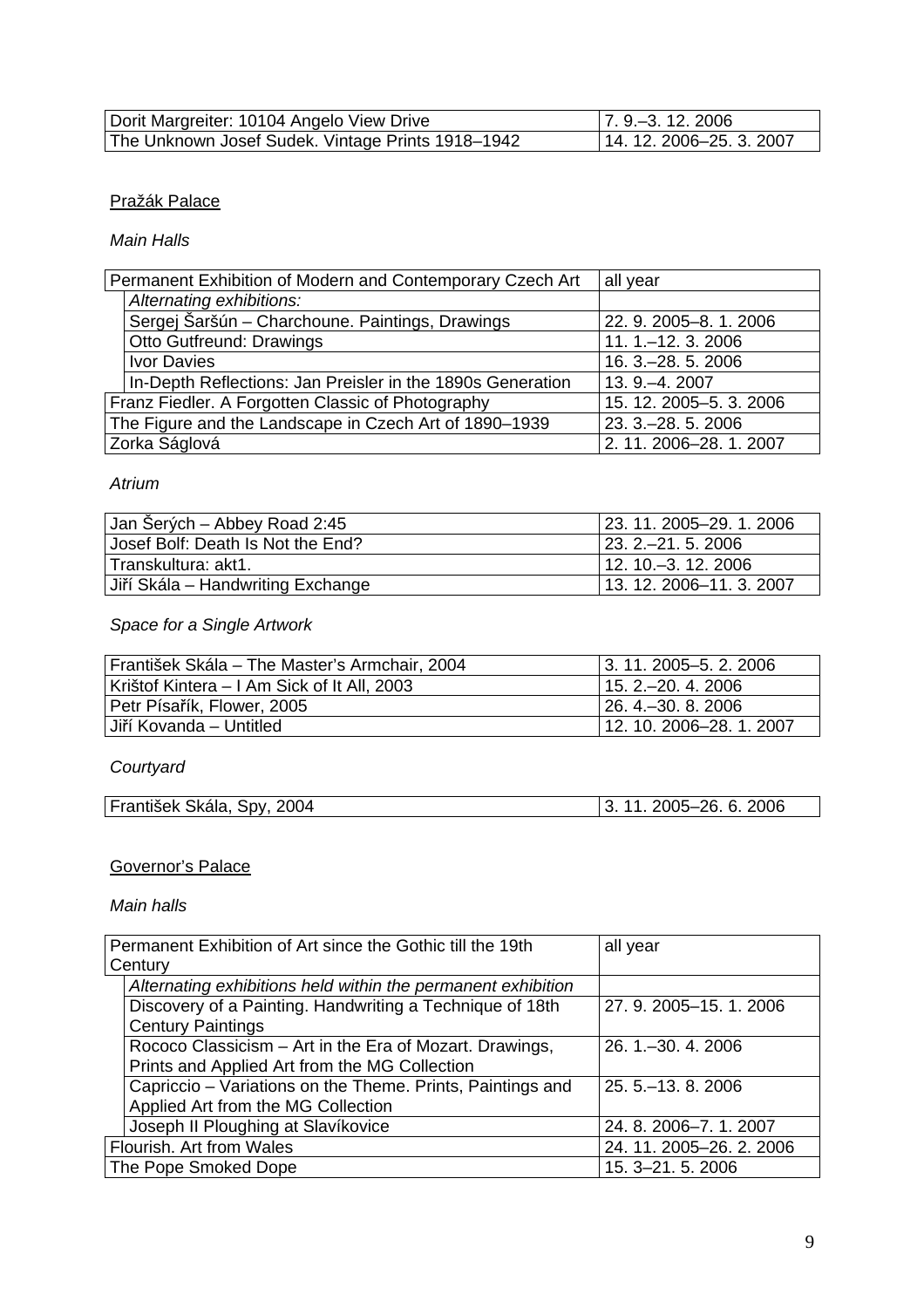| Dorit Margreiter: 10104 Angelo View Drive         | $\vert$ 7.9 $-3.12.2006$ |
|---------------------------------------------------|--------------------------|
| The Unknown Josef Sudek. Vintage Prints 1918-1942 | $14.12.2006 - 25.3.2007$ |

# Pražák Palace

*Main Halls* 

| Permanent Exhibition of Modern and Contemporary Czech Art  | all year                |
|------------------------------------------------------------|-------------------------|
| Alternating exhibitions:                                   |                         |
| Sergej Šaršún - Charchoune. Paintings, Drawings            | 22. 9. 2005-8. 1. 2006  |
| Otto Gutfreund: Drawings                                   | 11. 1. - 12. 3. 2006    |
| Ivor Davies                                                | 16. 3. - 28. 5. 2006    |
| In-Depth Reflections: Jan Preisler in the 1890s Generation | 13. 9. - 4. 2007        |
| Franz Fiedler. A Forgotten Classic of Photography          | 15. 12. 2005-5. 3. 2006 |
| The Figure and the Landscape in Czech Art of 1890-1939     | 23. 3. - 28. 5. 2006    |
| Zorka Ságlová                                              | 2. 11. 2006-28. 1. 2007 |

# *Atrium*

| Jan Šerých – Abbey Road 2:45      | $\vert$ 23. 11. 2005–29. 1. 2006 |
|-----------------------------------|----------------------------------|
| Uosef Bolf: Death Is Not the End? | $\vert$ 23. 2.–21. 5. 2006       |
| l Transkultura: akt1.             | $112.10 - 3.12.2006$             |
| Uiří Skála – Handwriting Exchange | 13. 12. 2006-11. 3. 2007         |

# *Space for a Single Artwork*

| František Skála – The Master's Armchair, 2004 | 13.11.2005–5.2.2006      |
|-----------------------------------------------|--------------------------|
| Krištof Kintera – I Am Sick of It All, 2003   | $115, 2 - 20, 4, 2006$   |
| Petr Písařík, Flower, 2005                    | $126, 4 - 30, 8, 2006$   |
| Uiří Kovanda – Untitled                       | $12.10.2006 - 28.1.2007$ |

# *Courtyard*

| František Skála, Spy, 2004 | 2005-26. 6. 2006<br>11 |
|----------------------------|------------------------|

# Governor's Palace

*Main halls* 

| Permanent Exhibition of Art since the Gothic till the 19th                    | all year                 |
|-------------------------------------------------------------------------------|--------------------------|
| Century                                                                       |                          |
| Alternating exhibitions held within the permanent exhibition                  |                          |
| Discovery of a Painting. Handwriting a Technique of 18th                      | 27.9.2005-15.1.2006      |
| <b>Century Paintings</b>                                                      |                          |
| Rococo Classicism – Art in the Era of Mozart. Drawings,<br>26.1 . - 30.4.2006 |                          |
| Prints and Applied Art from the MG Collection                                 |                          |
| Capriccio - Variations on the Theme. Prints, Paintings and                    | 25.5 . - 13.8.2006       |
| Applied Art from the MG Collection                                            |                          |
| Joseph II Ploughing at Slavíkovice<br>24.8.2006-7.1.2007                      |                          |
| Flourish. Art from Wales                                                      | 24. 11. 2005-26. 2. 2006 |
| The Pope Smoked Dope                                                          | 15. 3-21. 5. 2006        |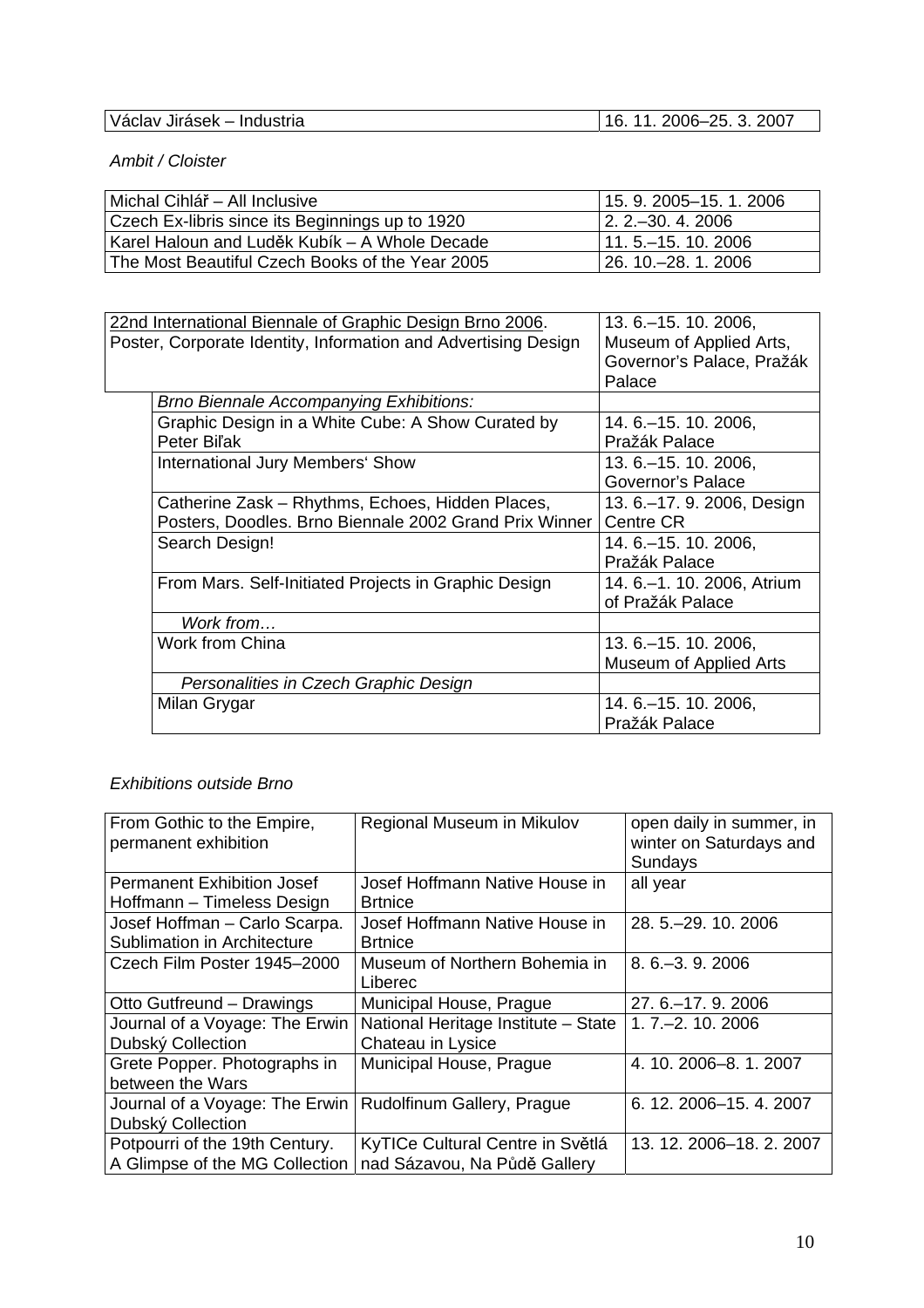| Václav<br>· Industria<br>Jirásek – | 2007<br>つに<br>◠<br>44<br>$2006 - 7$<br>1 L<br>ັ |
|------------------------------------|-------------------------------------------------|

*Ambit / Cloister* 

| Michal Cihlář – All Inclusive                   | 15.9.2005–15.1.2006         |
|-------------------------------------------------|-----------------------------|
| Czech Ex-libris since its Beginnings up to 1920 | $\vert$ 2. 2. - 30. 4. 2006 |
| Karel Haloun and Luděk Kubík – A Whole Decade   | $111.5 - 15.10.2006$        |
| The Most Beautiful Czech Books of the Year 2005 | l 26. 10.–28. 1. 2006       |

| 22nd International Biennale of Graphic Design Brno 2006.       | 13. 6. - 15. 10. 2006,       |
|----------------------------------------------------------------|------------------------------|
| Poster, Corporate Identity, Information and Advertising Design | Museum of Applied Arts,      |
|                                                                | Governor's Palace, Pražák    |
|                                                                | Palace                       |
| <b>Brno Biennale Accompanying Exhibitions:</b>                 |                              |
| Graphic Design in a White Cube: A Show Curated by              | 14. 6. - 15. 10. 2006,       |
| Peter Bil'ak                                                   | Pražák Palace                |
| International Jury Members' Show                               | 13. 6. - 15. 10. 2006,       |
|                                                                | <b>Governor's Palace</b>     |
| Catherine Zask - Rhythms, Echoes, Hidden Places,               | 13. 6.–17. 9. 2006, Design   |
| Posters, Doodles. Brno Biennale 2002 Grand Prix Winner         | Centre CR                    |
| Search Design!                                                 | 14. 6. - 15. 10. 2006,       |
|                                                                | Pražák Palace                |
| From Mars. Self-Initiated Projects in Graphic Design           | 14. 6. - 1. 10. 2006, Atrium |
|                                                                | of Pražák Palace             |
| Work from                                                      |                              |
| Work from China                                                | 13. 6. - 15. 10. 2006,       |
|                                                                | Museum of Applied Arts       |
| Personalities in Czech Graphic Design                          |                              |
| Milan Grygar                                                   | 14. 6. - 15. 10. 2006,       |
|                                                                | Pražák Palace                |

# *Exhibitions outside Brno*

| From Gothic to the Empire,<br>permanent exhibition | Regional Museum in Mikulov          | open daily in summer, in<br>winter on Saturdays and<br>Sundays |
|----------------------------------------------------|-------------------------------------|----------------------------------------------------------------|
| <b>Permanent Exhibition Josef</b>                  | Josef Hoffmann Native House in      | all year                                                       |
| Hoffmann - Timeless Design                         | <b>Brtnice</b>                      |                                                                |
| Josef Hoffman - Carlo Scarpa.                      | Josef Hoffmann Native House in      | 28.5 . - 29.10.2006                                            |
| Sublimation in Architecture                        | <b>Brtnice</b>                      |                                                                |
| Czech Film Poster 1945-2000                        | Museum of Northern Bohemia in       | 8.6 .- 3.9.2006                                                |
|                                                    | Liberec                             |                                                                |
| Otto Gutfreund - Drawings                          | Municipal House, Prague             | 27.6. - 17.9.2006                                              |
| Journal of a Voyage: The Erwin                     | National Heritage Institute - State | $1, 7, -2, 10, 2006$                                           |
| Dubský Collection                                  | Chateau in Lysice                   |                                                                |
| Grete Popper. Photographs in                       | Municipal House, Prague             | 4. 10. 2006-8. 1. 2007                                         |
| between the Wars                                   |                                     |                                                                |
| Journal of a Voyage: The Erwin                     | Rudolfinum Gallery, Prague          | 6. 12. 2006-15. 4. 2007                                        |
| Dubský Collection                                  |                                     |                                                                |
| Potpourri of the 19th Century.                     | KyTICe Cultural Centre in Světlá    | 13. 12. 2006-18. 2. 2007                                       |
| A Glimpse of the MG Collection                     | nad Sázavou, Na Půdě Gallery        |                                                                |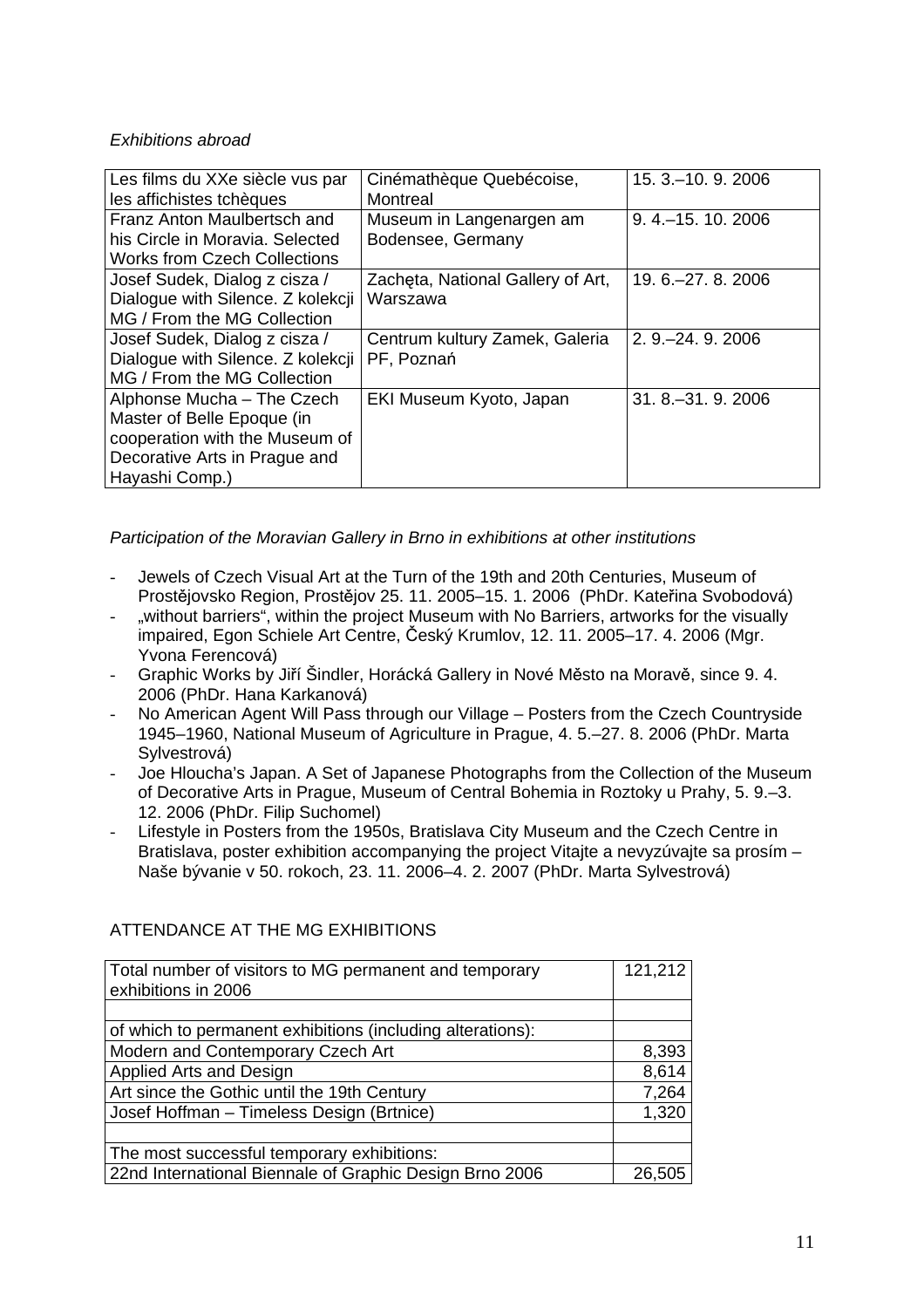# *Exhibitions abroad*

| Les films du XXe siècle vus par<br>les affichistes tchèques    | Cinémathèque Quebécoise,<br>Montreal          | 15. 3. - 10. 9. 2006 |
|----------------------------------------------------------------|-----------------------------------------------|----------------------|
| Franz Anton Maulbertsch and<br>his Circle in Moravia, Selected | Museum in Langenargen am<br>Bodensee, Germany | 9.4 .- 15.10.2006    |
| <b>Works from Czech Collections</b>                            |                                               |                      |
| Josef Sudek, Dialog z cisza /                                  | Zacheta, National Gallery of Art,             | 19, 6, -27, 8, 2006  |
| Dialogue with Silence. Z kolekcji                              | Warszawa                                      |                      |
| MG / From the MG Collection                                    |                                               |                      |
| Josef Sudek, Dialog z cisza /                                  | Centrum kultury Zamek, Galeria                | 2. 9. - 24. 9. 2006  |
| Dialogue with Silence. Z kolekcji                              | PF, Poznań                                    |                      |
| MG / From the MG Collection                                    |                                               |                      |
| Alphonse Mucha - The Czech                                     | EKI Museum Kyoto, Japan                       | 31, 8, -31, 9, 2006  |
| Master of Belle Epoque (in                                     |                                               |                      |
| cooperation with the Museum of                                 |                                               |                      |
| Decorative Arts in Prague and                                  |                                               |                      |
| Hayashi Comp.)                                                 |                                               |                      |

# *Participation of the Moravian Gallery in Brno in exhibitions at other institutions*

- Jewels of Czech Visual Art at the Turn of the 19th and 20th Centuries, Museum of Prostějovsko Region, Prostějov 25. 11. 2005–15. 1. 2006 (PhDr. Kateřina Svobodová)
- "without barriers", within the project Museum with No Barriers, artworks for the visually impaired, Egon Schiele Art Centre, Český Krumlov, 12. 11. 2005–17. 4. 2006 (Mgr. Yvona Ferencová)
- Graphic Works by Jiří Šindler, Horácká Gallery in Nové Město na Moravě, since 9. 4. 2006 (PhDr. Hana Karkanová)
- No American Agent Will Pass through our Village Posters from the Czech Countryside 1945–1960, National Museum of Agriculture in Prague, 4. 5.–27. 8. 2006 (PhDr. Marta Sylvestrová)
- Joe Hloucha's Japan. A Set of Japanese Photographs from the Collection of the Museum of Decorative Arts in Prague, Museum of Central Bohemia in Roztoky u Prahy, 5. 9.–3. 12. 2006 (PhDr. Filip Suchomel)
- Lifestyle in Posters from the 1950s, Bratislava City Museum and the Czech Centre in Bratislava, poster exhibition accompanying the project Vitajte a nevyzúvajte sa prosím -Naše bývanie v 50. rokoch, 23. 11. 2006–4. 2. 2007 (PhDr. Marta Sylvestrová)

| Total number of visitors to MG permanent and temporary     | 121,212 |
|------------------------------------------------------------|---------|
| exhibitions in 2006                                        |         |
|                                                            |         |
| of which to permanent exhibitions (including alterations): |         |
| Modern and Contemporary Czech Art                          | 8,393   |
| Applied Arts and Design                                    | 8,614   |
| Art since the Gothic until the 19th Century                | 7,264   |
| Josef Hoffman - Timeless Design (Brtnice)                  | 1,320   |
|                                                            |         |
| The most successful temporary exhibitions:                 |         |
| 22nd International Biennale of Graphic Design Brno 2006    | 26,505  |

# ATTENDANCE AT THE MG EXHIBITIONS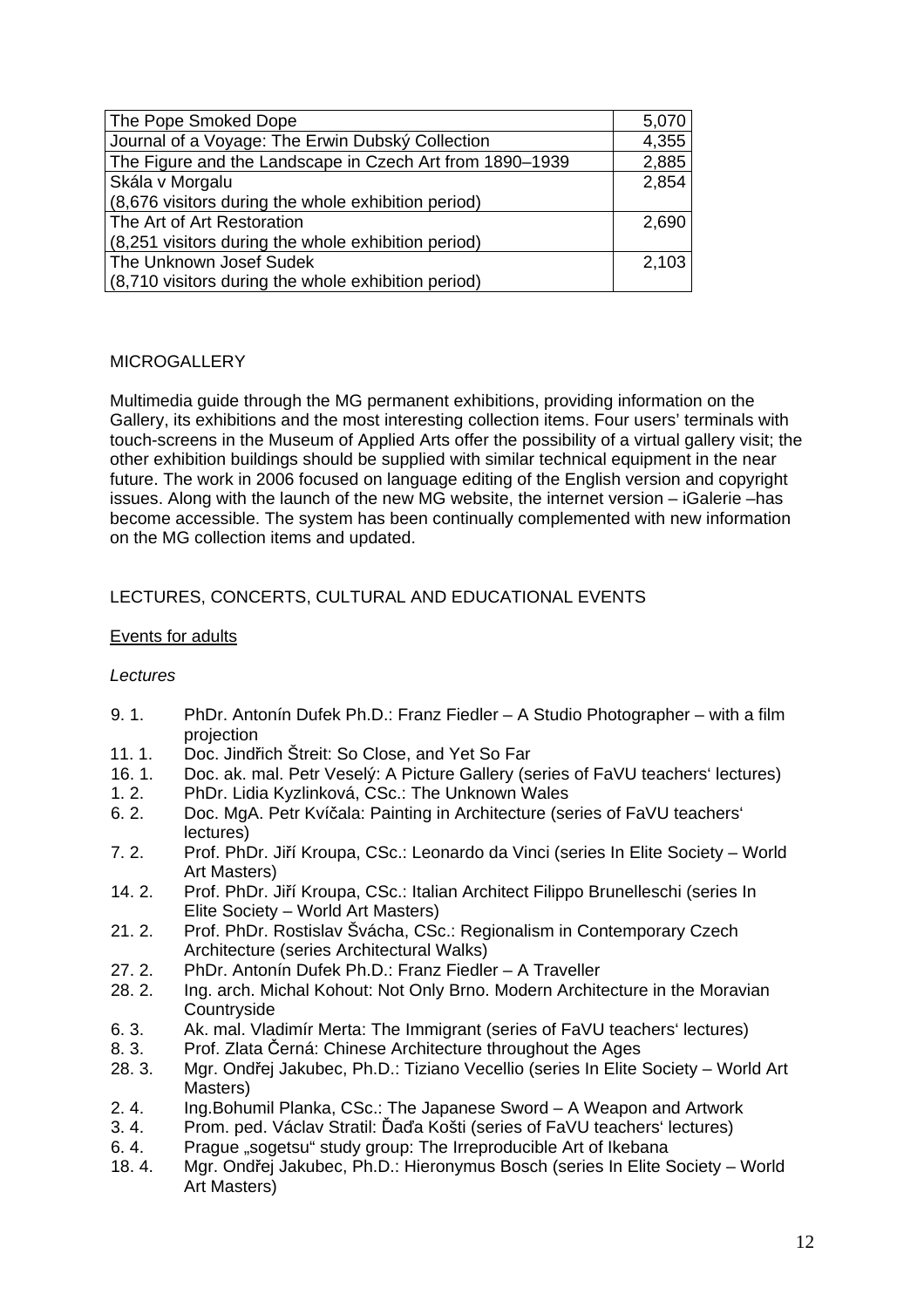| The Pope Smoked Dope                                     | 5,070 |
|----------------------------------------------------------|-------|
| Journal of a Voyage: The Erwin Dubský Collection         | 4,355 |
| The Figure and the Landscape in Czech Art from 1890-1939 | 2,885 |
| Skála v Morgalu                                          | 2,854 |
| (8,676 visitors during the whole exhibition period)      |       |
| The Art of Art Restoration                               | 2,690 |
| (8,251 visitors during the whole exhibition period)      |       |
| The Unknown Josef Sudek                                  | 2,103 |
| (8,710 visitors during the whole exhibition period)      |       |

#### **MICROGALLERY**

Multimedia guide through the MG permanent exhibitions, providing information on the Gallery, its exhibitions and the most interesting collection items. Four users' terminals with touch-screens in the Museum of Applied Arts offer the possibility of a virtual gallery visit; the other exhibition buildings should be supplied with similar technical equipment in the near future. The work in 2006 focused on language editing of the English version and copyright issues. Along with the launch of the new MG website, the internet version – iGalerie –has become accessible. The system has been continually complemented with new information on the MG collection items and updated.

# LECTURES, CONCERTS, CULTURAL AND EDUCATIONAL EVENTS

# Events for adults

#### *Lectures*

- 9. 1. PhDr. Antonín Dufek Ph.D.: Franz Fiedler A Studio Photographer with a film projection
- 11. 1. Doc. Jindřich Štreit: So Close, and Yet So Far
- 16. 1. Doc. ak. mal. Petr Veselý: A Picture Gallery (series of FaVU teachers' lectures)
- 1. 2. PhDr. Lidia Kyzlinková, CSc.: The Unknown Wales
- 6. 2. Doc. MgA. Petr Kvíčala: Painting in Architecture (series of FaVU teachers' lectures)
- 7. 2. Prof. PhDr. Jiří Kroupa, CSc.: Leonardo da Vinci (series In Elite Society World Art Masters)
- 14. 2. Prof. PhDr. Jiří Kroupa, CSc.: Italian Architect Filippo Brunelleschi (series In Elite Society – World Art Masters)
- 21. 2. Prof. PhDr. Rostislav Švácha, CSc.: Regionalism in Contemporary Czech Architecture (series Architectural Walks)
- 27. 2. PhDr. Antonín Dufek Ph.D.: Franz Fiedler A Traveller
- 28. 2. Ing. arch. Michal Kohout: Not Only Brno. Modern Architecture in the Moravian **Countryside**
- 6. 3. Ak. mal. Vladimír Merta: The Immigrant (series of FaVU teachers' lectures)
- 8. 3. Prof. Zlata Černá: Chinese Architecture throughout the Ages
- 28. 3. Mgr. Ondřej Jakubec, Ph.D.: Tiziano Vecellio (series In Elite Society World Art Masters)
- 2. 4. Ing.Bohumil Planka, CSc.: The Japanese Sword A Weapon and Artwork
- 3. 4. Prom. ped. Václav Stratil: Ďaďa Košti (series of FaVU teachers' lectures)
- 6.4. Prague "sogetsu" study group: The Irreproducible Art of Ikebana
- 18. 4. Mgr. Ondřej Jakubec, Ph.D.: Hieronymus Bosch (series In Elite Society World Art Masters)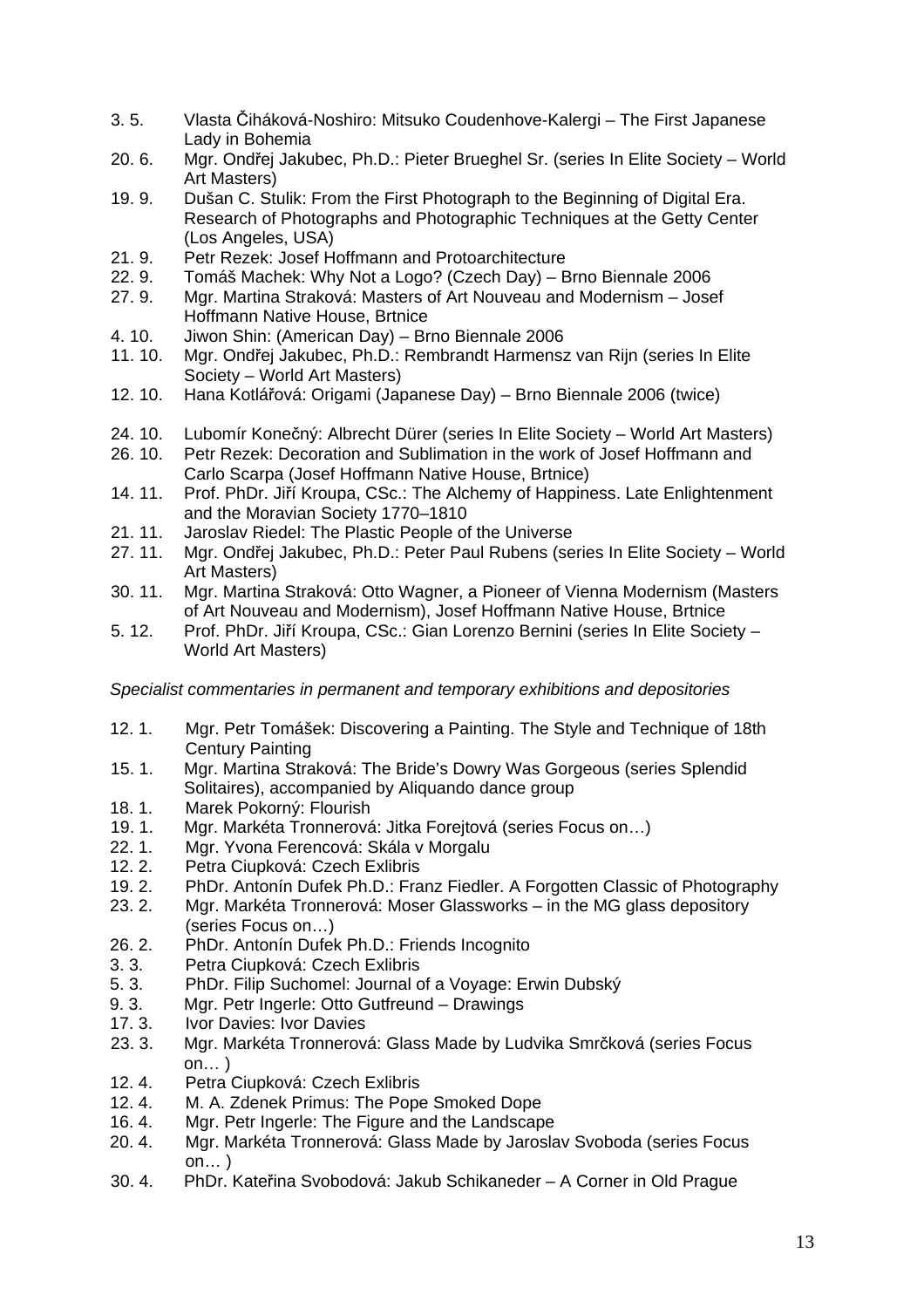- 3. 5. Vlasta Čiháková-Noshiro: Mitsuko Coudenhove-Kalergi The First Japanese Lady in Bohemia
- 20. 6. Mgr. Ondřej Jakubec, Ph.D.: Pieter Brueghel Sr. (series In Elite Society World Art Masters)
- 19. 9. Dušan C. Stulik: From the First Photograph to the Beginning of Digital Era. Research of Photographs and Photographic Techniques at the Getty Center (Los Angeles, USA)
- 21. 9. Petr Rezek: Josef Hoffmann and Protoarchitecture
- 22. 9. Tomáš Machek: Why Not a Logo? (Czech Day) Brno Biennale 2006
- 27. 9. Mgr. Martina Straková: Masters of Art Nouveau and Modernism Josef Hoffmann Native House, Brtnice
- 4. 10. Jiwon Shin: (American Day) Brno Biennale 2006
- 11. 10. Mgr. Ondřej Jakubec, Ph.D.: Rembrandt Harmensz van Rijn (series In Elite Society – World Art Masters)
- 12. 10. Hana Kotlářová: Origami (Japanese Day) Brno Biennale 2006 (twice)
- 24. 10. Lubomír Konečný: Albrecht Dürer (series In Elite Society World Art Masters)
- 26. 10. Petr Rezek: Decoration and Sublimation in the work of Josef Hoffmann and Carlo Scarpa (Josef Hoffmann Native House, Brtnice)
- 14. 11. Prof. PhDr. Jiří Kroupa, CSc.: The Alchemy of Happiness. Late Enlightenment and the Moravian Society 1770–1810
- 21. 11. Jaroslav Riedel: The Plastic People of the Universe<br>27. 11. Mar. Ondřei Jakubec. Ph.D.: Peter Paul Rubens (se
- Mgr. Ondřej Jakubec, Ph.D.: Peter Paul Rubens (series In Elite Society World Art Masters)
- 30. 11. Mgr. Martina Straková: Otto Wagner, a Pioneer of Vienna Modernism (Masters of Art Nouveau and Modernism), Josef Hoffmann Native House, Brtnice
- 5. 12. Prof. PhDr. Jiří Kroupa, CSc.: Gian Lorenzo Bernini (series In Elite Society World Art Masters)

*Specialist commentaries in permanent and temporary exhibitions and depositories* 

- 12. 1. Mgr. Petr Tomášek: Discovering a Painting. The Style and Technique of 18th Century Painting
- 15. 1. Mgr. Martina Straková: The Bride's Dowry Was Gorgeous (series Splendid Solitaires), accompanied by Aliquando dance group
- 18. 1. Marek Pokorný: Flourish<br>19. 1. Mar. Markéta Tronnerová
- Mar. Markéta Tronnerová: Jitka Foreitová (series Focus on...)
- 22. 1. Mgr. Yvona Ferencová: Skála v Morgalu
- 12. 2. Petra Ciupková: Czech Exlibris
- 19. 2. PhDr. Antonín Dufek Ph.D.: Franz Fiedler. A Forgotten Classic of Photography
- 23. 2. Mgr. Markéta Tronnerová: Moser Glassworks in the MG glass depository (series Focus on…)
- 26. 2. PhDr. Antonín Dufek Ph.D.: Friends Incognito
- 3. 3. Petra Ciupková: Czech Exlibris<br>5. 3. PhDr. Filip Suchomel: Journal c
- 5. 3. PhDr. Filip Suchomel: Journal of a Voyage: Erwin Dubský
- 9. 3. Mgr. Petr Ingerle: Otto Gutfreund Drawings
- 17. 3. Ivor Davies: Ivor Davies
- 23. 3. Mgr. Markéta Tronnerová: Glass Made by Ludvika Smrčková (series Focus on… )
- 12. 4. Petra Ciupková: Czech Exlibris
- 12. 4. M. A. Zdenek Primus: The Pope Smoked Dope
- 16. 4. Mgr. Petr Ingerle: The Figure and the Landscape
- 20. 4. Mgr. Markéta Tronnerová: Glass Made by Jaroslav Svoboda (series Focus on… )
- 30. 4. PhDr. Kateřina Svobodová: Jakub Schikaneder A Corner in Old Prague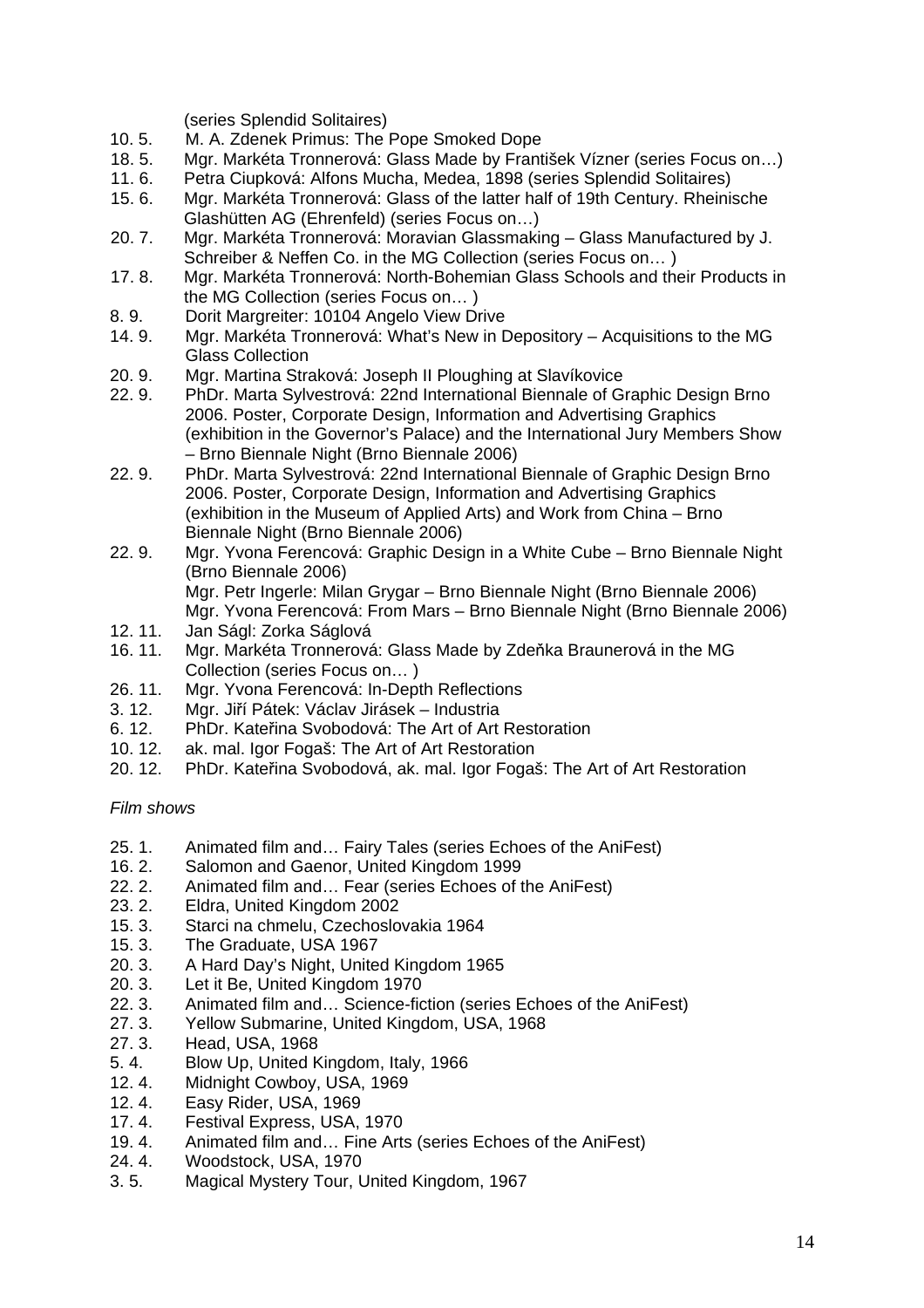(series Splendid Solitaires)

- 10. 5. M. A. Zdenek Primus: The Pope Smoked Dope
- 18. 5. Mgr. Markéta Tronnerová: Glass Made by František Vízner (series Focus on…)
- 11. 6. Petra Ciupková: Alfons Mucha, Medea, 1898 (series Splendid Solitaires)
- 15. 6. Mgr. Markéta Tronnerová: Glass of the latter half of 19th Century. Rheinische Glashütten AG (Ehrenfeld) (series Focus on…)
- 20. 7. Mgr. Markéta Tronnerová: Moravian Glassmaking Glass Manufactured by J. Schreiber & Neffen Co. in the MG Collection (series Focus on… )
- 17. 8. Mgr. Markéta Tronnerová: North-Bohemian Glass Schools and their Products in the MG Collection (series Focus on… )
- 8. 9. Dorit Margreiter: 10104 Angelo View Drive
- 14. 9. Mgr. Markéta Tronnerová: What's New in Depository Acquisitions to the MG Glass Collection
- 20. 9. Mgr. Martina Straková: Joseph II Ploughing at Slavíkovice
- 22. 9. PhDr. Marta Sylvestrová: 22nd International Biennale of Graphic Design Brno 2006. Poster, Corporate Design, Information and Advertising Graphics (exhibition in the Governor's Palace) and the International Jury Members Show – Brno Biennale Night (Brno Biennale 2006)
- 22. 9. PhDr. Marta Sylvestrová: 22nd International Biennale of Graphic Design Brno 2006. Poster, Corporate Design, Information and Advertising Graphics (exhibition in the Museum of Applied Arts) and Work from China – Brno Biennale Night (Brno Biennale 2006)
- 22. 9. Mgr. Yvona Ferencová: Graphic Design in a White Cube Brno Biennale Night (Brno Biennale 2006) Mgr. Petr Ingerle: Milan Grygar – Brno Biennale Night (Brno Biennale 2006) Mgr. Yvona Ferencová: From Mars – Brno Biennale Night (Brno Biennale 2006)
- 12. 11. Jan Ságl: Zorka Ságlová
- 16. 11. Mgr. Markéta Tronnerová: Glass Made by Zdeňka Braunerová in the MG Collection (series Focus on… )
- 26. 11. Mgr. Yvona Ferencová: In-Depth Reflections
- 3. 12. Mgr. Jiří Pátek: Václav Jirásek Industria
- 6. 12. PhDr. Kateřina Svobodová: The Art of Art Restoration
- 10. 12. ak. mal. Igor Fogaš: The Art of Art Restoration
- 20. 12. PhDr. Kateřina Svobodová, ak. mal. Igor Fogaš: The Art of Art Restoration

#### *Film shows*

- 25. 1. Animated film and… Fairy Tales (series Echoes of the AniFest)
- 16. 2. Salomon and Gaenor, United Kingdom 1999
- 22. 2. Animated film and… Fear (series Echoes of the AniFest)
- 23. 2. Eldra, United Kingdom 2002
- 15. 3. Starci na chmelu, Czechoslovakia 1964
- 15. 3. The Graduate, USA 1967
- 20. 3. A Hard Day's Night, United Kingdom 1965
- 20. 3. Let it Be, United Kingdom 1970
- 22. 3. Animated film and… Science-fiction (series Echoes of the AniFest)
- 27. 3. Yellow Submarine, United Kingdom, USA, 1968
- 27. 3. Head, USA, 1968
- 5. 4. Blow Up, United Kingdom, Italy, 1966
- 12. 4. Midnight Cowboy, USA, 1969
- 12. 4. Easy Rider, USA, 1969
- 17. 4. Festival Express, USA, 1970
- 19. 4. Animated film and… Fine Arts (series Echoes of the AniFest)
- 24. 4. Woodstock, USA, 1970
- 3. 5. Magical Mystery Tour, United Kingdom, 1967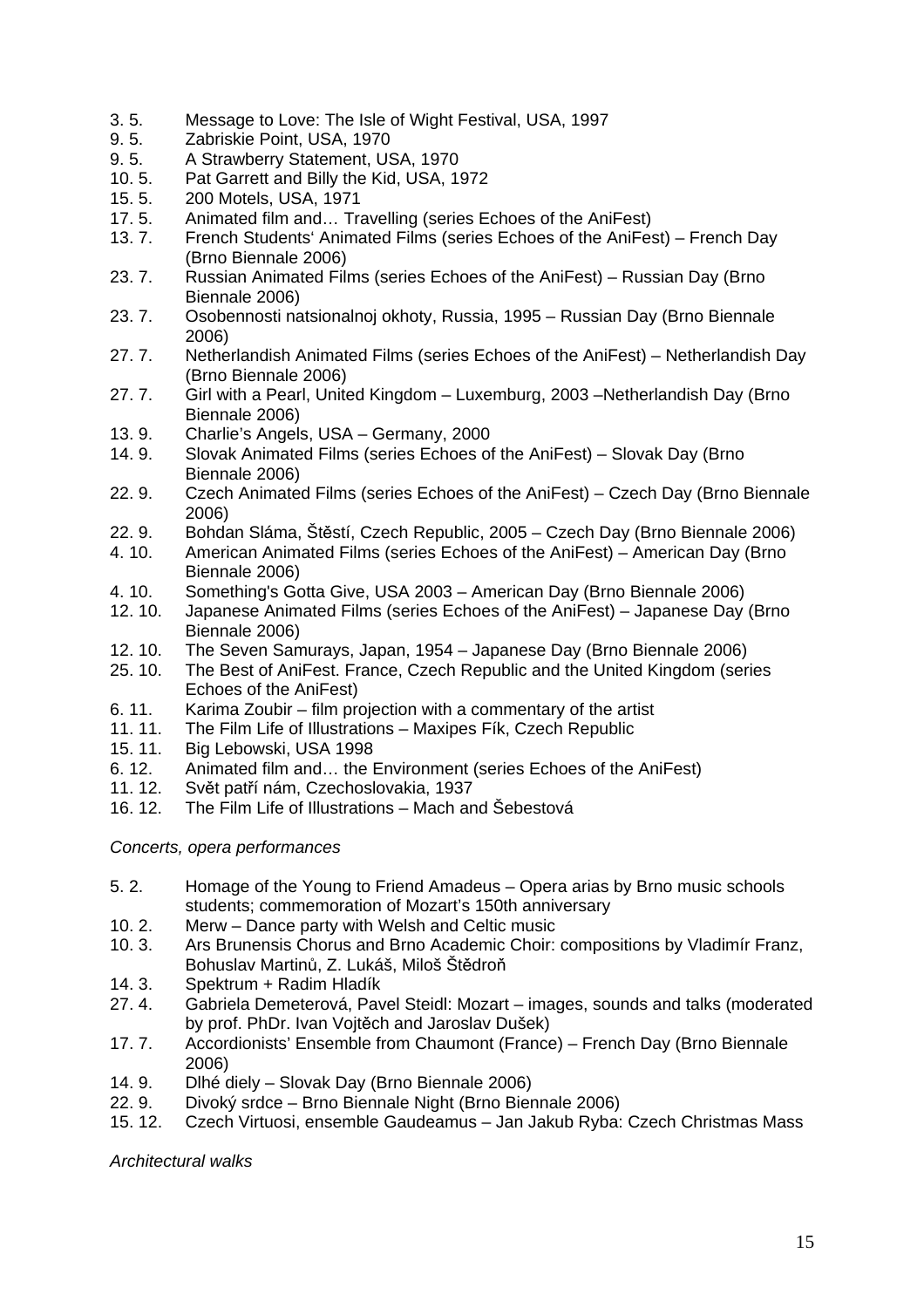- 3. 5. Message to Love: The Isle of Wight Festival, USA, 1997
- 9. 5. Zabriskie Point, USA, 1970
- 9. 5. A Strawberry Statement, USA, 1970
- 10. 5. Pat Garrett and Billy the Kid, USA, 1972
- 200 Motels, USA, 1971
- 17. 5. Animated film and… Travelling (series Echoes of the AniFest)
- 13. 7. French Students' Animated Films (series Echoes of the AniFest) French Day (Brno Biennale 2006)
- 23. 7. Russian Animated Films (series Echoes of the AniFest) Russian Day (Brno Biennale 2006)
- 23. 7. Osobennosti natsionalnoj okhoty, Russia, 1995 Russian Day (Brno Biennale 2006)
- 27. 7. Netherlandish Animated Films (series Echoes of the AniFest) Netherlandish Day (Brno Biennale 2006)
- 27. 7. Girl with a Pearl, United Kingdom Luxemburg, 2003 –Netherlandish Day (Brno Biennale 2006)
- 13. 9. Charlie's Angels, USA Germany, 2000
- 14. 9. Slovak Animated Films (series Echoes of the AniFest) Slovak Day (Brno Biennale 2006)
- 22. 9. Czech Animated Films (series Echoes of the AniFest) Czech Day (Brno Biennale 2006)
- 22. 9. Bohdan Sláma, Štěstí, Czech Republic, 2005 Czech Day (Brno Biennale 2006)<br>4. 10. American Animated Films (series Echoes of the AniFest) American Day (Brno
- American Animated Films (series Echoes of the AniFest) American Day (Brno Biennale 2006)
- 4. 10. Something's Gotta Give, USA 2003 American Day (Brno Biennale 2006)
- 12. 10. Japanese Animated Films (series Echoes of the AniFest) Japanese Day (Brno Biennale 2006)
- 12. 10. The Seven Samurays, Japan, 1954 Japanese Day (Brno Biennale 2006)
- 25. 10. The Best of AniFest. France, Czech Republic and the United Kingdom (series Echoes of the AniFest)
- 6. 11. Karima Zoubir film projection with a commentary of the artist
- 11. 11. The Film Life of Illustrations Maxipes Fík, Czech Republic
- 15. 11. Big Lebowski, USA 1998
- 6. 12. Animated film and… the Environment (series Echoes of the AniFest)
- 11. 12. Svět patří nám, Czechoslovakia, 1937
- 16. 12. The Film Life of Illustrations Mach and Šebestová

#### *Concerts, opera performances*

- 5. 2. Homage of the Young to Friend Amadeus Opera arias by Brno music schools students; commemoration of Mozart's 150th anniversary
- 10. 2. Merw Dance party with Welsh and Celtic music
- 10. 3. Ars Brunensis Chorus and Brno Academic Choir: compositions by Vladimír Franz, Bohuslav Martinů, Z. Lukáš, Miloš Štědroň
- 14. 3. Spektrum + Radim Hladík
- 27. 4. Gabriela Demeterová, Pavel Steidl: Mozart images, sounds and talks (moderated by prof. PhDr. Ivan Vojtěch and Jaroslav Dušek)
- 17. 7. Accordionists' Ensemble from Chaumont (France) French Day (Brno Biennale 2006)
- 14. 9. Dlhé diely Slovak Day (Brno Biennale 2006)
- 22. 9. Divoký srdce Brno Biennale Night (Brno Biennale 2006)
- 15. 12. Czech Virtuosi, ensemble Gaudeamus Jan Jakub Ryba: Czech Christmas Mass

*Architectural walks*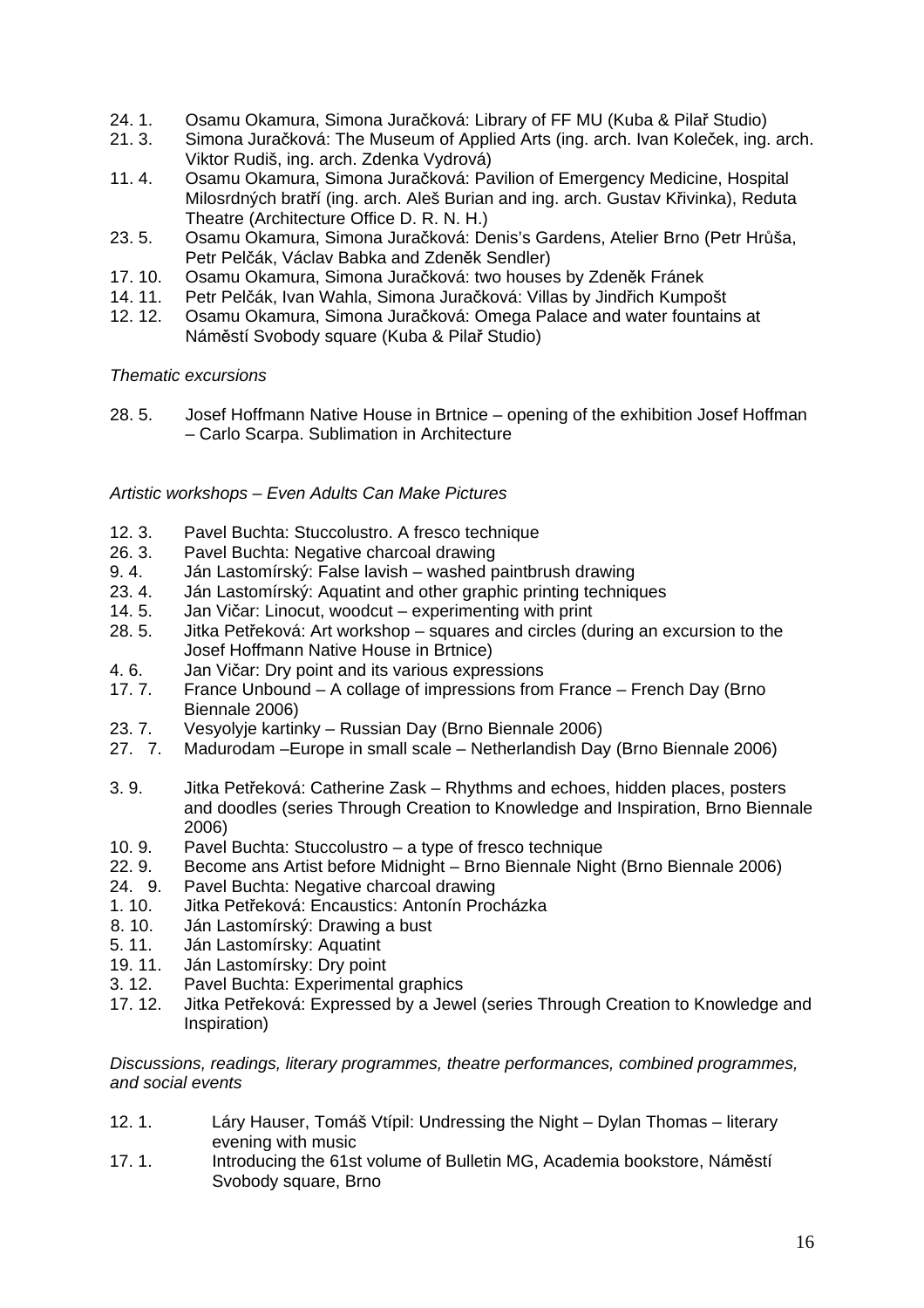- 24. 1. Osamu Okamura, Simona Juračková: Library of FF MU (Kuba & Pilař Studio)
- 21. 3. Simona Juračková: The Museum of Applied Arts (ing. arch. Ivan Koleček, ing. arch. Viktor Rudiš, ing. arch. Zdenka Vydrová)
- 11. 4. Osamu Okamura, Simona Juračková: Pavilion of Emergency Medicine, Hospital Milosrdných bratří (ing. arch. Aleš Burian and ing. arch. Gustav Křivinka), Reduta Theatre (Architecture Office D. R. N. H.)
- 23. 5. Osamu Okamura, Simona Juračková: Denis's Gardens, Atelier Brno (Petr Hrůša, Petr Pelčák, Václav Babka and Zdeněk Sendler)
- 17. 10. Osamu Okamura, Simona Juračková: two houses by Zdeněk Fránek
- 14. 11. Petr Pelčák, Ivan Wahla, Simona Juračková: Villas by Jindřich Kumpošt
- 12. 12. Osamu Okamura, Simona Juračková: Omega Palace and water fountains at Náměstí Svobody square (Kuba & Pilař Studio)

#### *Thematic excursions*

28. 5. Josef Hoffmann Native House in Brtnice – opening of the exhibition Josef Hoffman – Carlo Scarpa. Sublimation in Architecture

# *Artistic workshops – Even Adults Can Make Pictures*

- 12. 3. Pavel Buchta: Stuccolustro. A fresco technique<br>26. 3. Pavel Buchta: Negative charcoal drawing
- Pavel Buchta: Negative charcoal drawing
- 9. 4. Ján Lastomírský: False lavish washed paintbrush drawing
- 23. 4. Ján Lastomírský: Aquatint and other graphic printing techniques
- 14. 5. Jan Vičar: Linocut, woodcut experimenting with print
- 28. 5. Jitka Petřeková: Art workshop squares and circles (during an excursion to the Josef Hoffmann Native House in Brtnice)
- 4. 6. Jan Vičar: Dry point and its various expressions
- 17. 7. France Unbound A collage of impressions from France French Day (Brno Biennale 2006)
- 23. 7. Vesyolyje kartinky Russian Day (Brno Biennale 2006)
- 27. 7. Madurodam –Europe in small scale Netherlandish Day (Brno Biennale 2006)
- 3. 9. Jitka Petřeková: Catherine Zask Rhythms and echoes, hidden places, posters and doodles (series Through Creation to Knowledge and Inspiration, Brno Biennale 2006)
- 10. 9. Pavel Buchta: Stuccolustro a type of fresco technique
- 22. 9. Become ans Artist before Midnight Brno Biennale Night (Brno Biennale 2006)
- 24. 9. Pavel Buchta: Negative charcoal drawing
- 1. 10. Jitka Petřeková: Encaustics: Antonín Procházka
- 8. 10. Ján Lastomírský: Drawing a bust
- 5. 11. Ján Lastomírsky: Aquatint
- 19. 11. Ján Lastomírsky: Dry point
- 3. 12. Pavel Buchta: Experimental graphics
- 17. 12. Jitka Petřeková: Expressed by a Jewel (series Through Creation to Knowledge and Inspiration)

*Discussions, readings, literary programmes, theatre performances, combined programmes, and social events* 

- 12. 1. Láry Hauser, Tomáš Vtípil: Undressing the Night Dylan Thomas literary evening with music
- 17. 1. Introducing the 61st volume of Bulletin MG, Academia bookstore, Náměstí Svobody square, Brno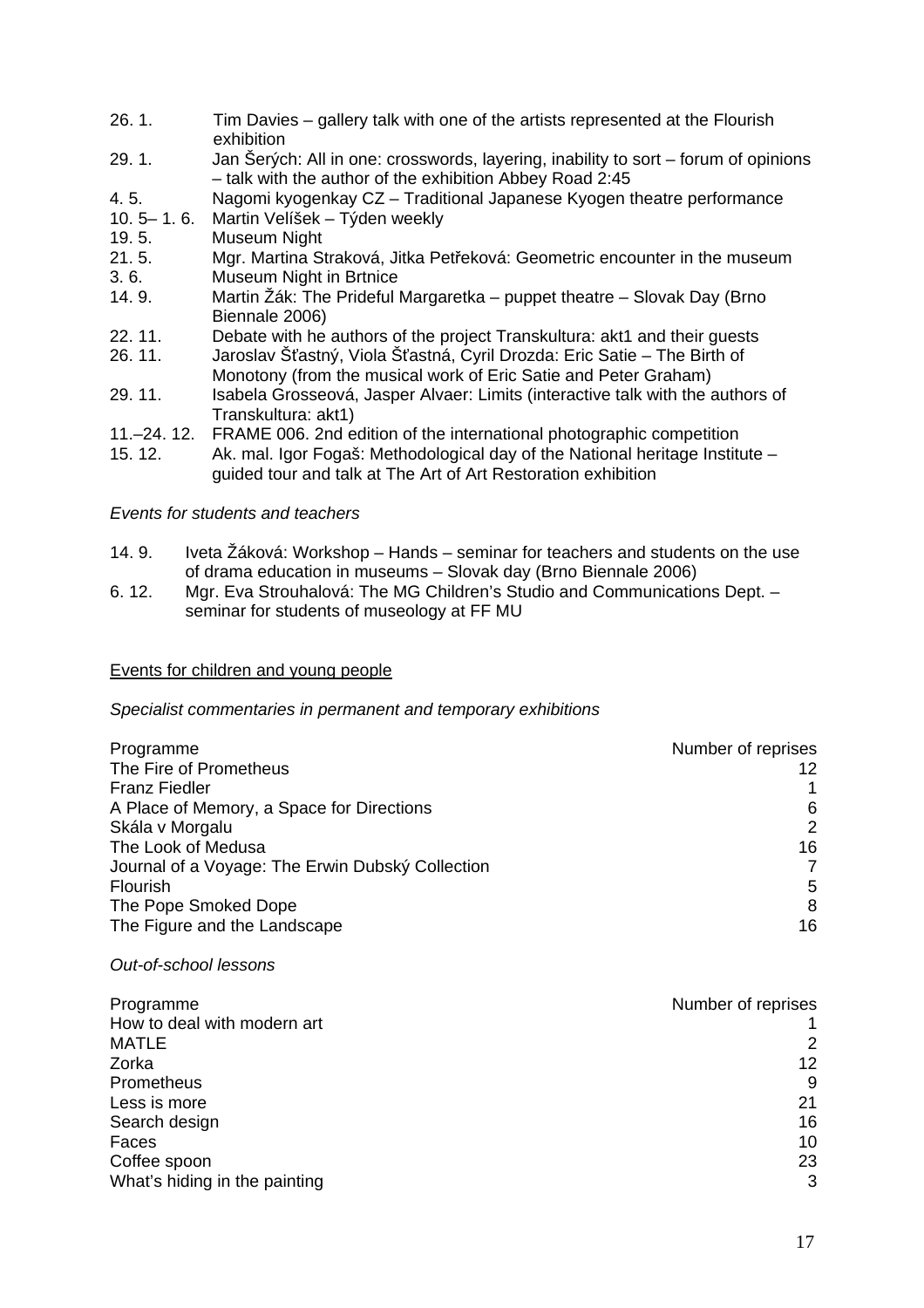- 26. 1. Tim Davies gallery talk with one of the artists represented at the Flourish exhibition
- 29. 1. Jan Šerých: All in one: crosswords, layering, inability to sort forum of opinions – talk with the author of the exhibition Abbey Road 2:45
- 4. 5. Nagomi kyogenkay CZ Traditional Japanese Kyogen theatre performance
- 10. 5– 1. 6. Martin Velíšek Týden weekly
- 19. 5. Museum Night
- 21. 5. Mgr. Martina Straková, Jitka Petřeková: Geometric encounter in the museum 3. 6. Museum Night in Brtnice
- 14. 9. Martin Žák: The Prideful Margaretka puppet theatre Slovak Day (Brno Biennale 2006)
- 22. 11. Debate with he authors of the project Transkultura: akt1 and their guests
- 26. 11. Jaroslav Šťastný, Viola Šťastná, Cyril Drozda: Eric Satie The Birth of Monotony (from the musical work of Eric Satie and Peter Graham)
- 29. 11. Isabela Grosseová, Jasper Alvaer: Limits (interactive talk with the authors of Transkultura: akt1)
- 11.–24. 12. FRAME 006. 2nd edition of the international photographic competition
- 15. 12. Ak. mal. Igor Fogaš: Methodological day of the National heritage Institute guided tour and talk at The Art of Art Restoration exhibition

#### *Events for students and teachers*

- 14. 9. Iveta Žáková: Workshop Hands seminar for teachers and students on the use of drama education in museums – Slovak day (Brno Biennale 2006)
- 6. 12. Mgr. Eva Strouhalová: The MG Children's Studio and Communications Dept. seminar for students of museology at FF MU

#### Events for children and young people

#### *Specialist commentaries in permanent and temporary exhibitions*

| Programme                                        | Number of reprises |
|--------------------------------------------------|--------------------|
| The Fire of Prometheus                           | 12                 |
| <b>Franz Fiedler</b>                             |                    |
| A Place of Memory, a Space for Directions        | 6                  |
| Skála v Morgalu                                  | $\overline{2}$     |
| The Look of Medusa                               | 16                 |
| Journal of a Voyage: The Erwin Dubský Collection |                    |
| Flourish                                         | 5                  |
| The Pope Smoked Dope                             | 8                  |
| The Figure and the Landscape                     | 16                 |

#### *Out-of-school lessons*

| Programme                     | Number of reprises |
|-------------------------------|--------------------|
| How to deal with modern art   |                    |
| <b>MATLE</b>                  | 2                  |
| Zorka                         | 12                 |
| Prometheus                    | 9                  |
| Less is more                  | 21                 |
| Search design                 | 16                 |
| Faces                         | 10                 |
| Coffee spoon                  | 23                 |
| What's hiding in the painting | 3                  |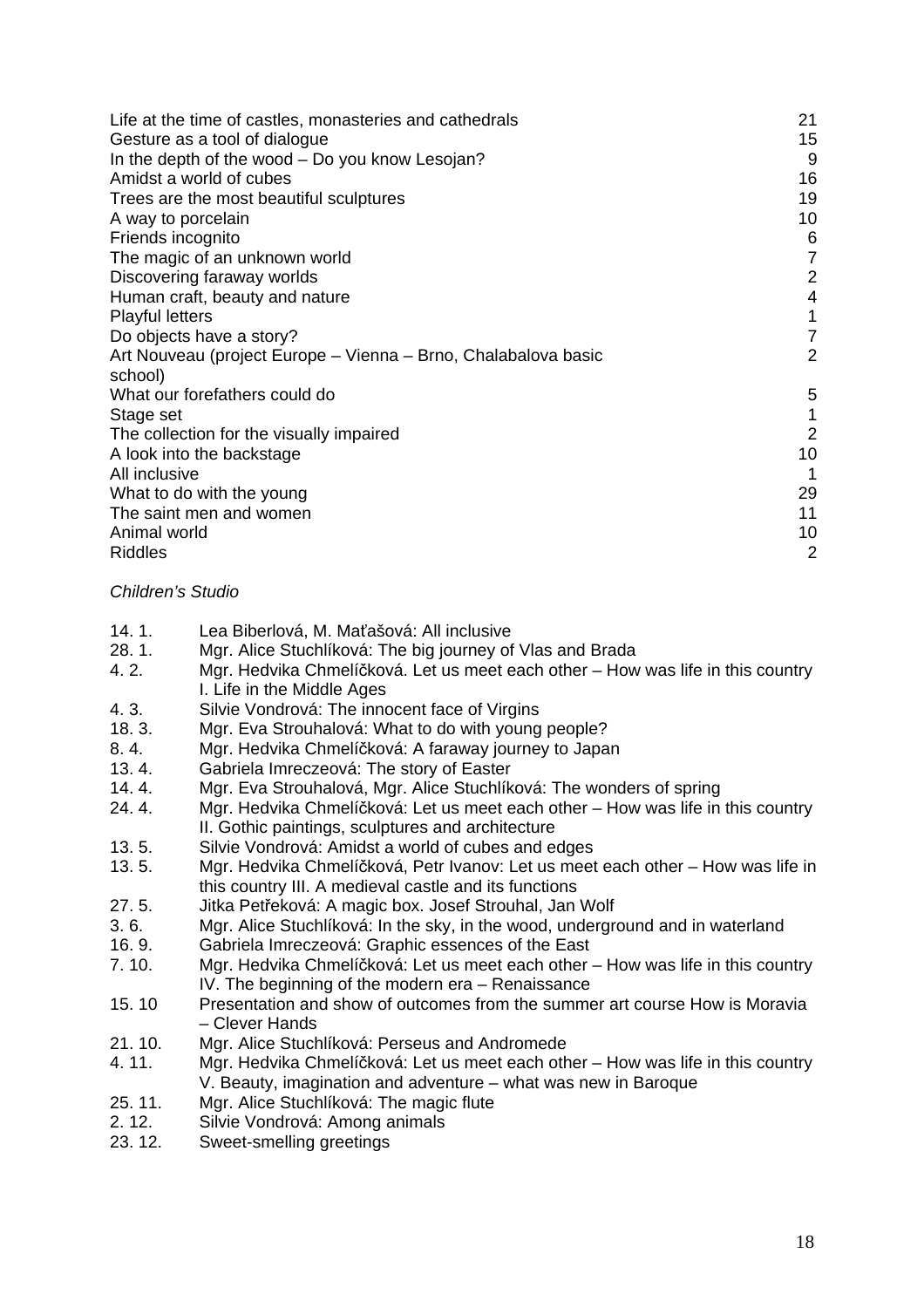| Life at the time of castles, monasteries and cathedrals        | 21             |
|----------------------------------------------------------------|----------------|
| Gesture as a tool of dialogue                                  | 15             |
| In the depth of the wood – Do you know Lesojan?                | 9              |
| Amidst a world of cubes                                        | 16             |
| Trees are the most beautiful sculptures                        | 19             |
| A way to porcelain                                             | 10             |
| Friends incognito                                              | 6              |
| The magic of an unknown world                                  | $\overline{7}$ |
| Discovering faraway worlds                                     | $\overline{2}$ |
| Human craft, beauty and nature                                 | $\overline{4}$ |
| <b>Playful letters</b>                                         | 1              |
| Do objects have a story?                                       | $\overline{7}$ |
| Art Nouveau (project Europe – Vienna – Brno, Chalabalova basic | 2              |
| school)                                                        |                |
| What our forefathers could do                                  | 5              |
| Stage set                                                      | 1              |
| The collection for the visually impaired                       | $\overline{2}$ |
| A look into the backstage                                      | 10             |
| All inclusive                                                  | 1              |
| What to do with the young                                      | 29             |
| The saint men and women                                        | 11             |
| Animal world                                                   | 10             |
| <b>Riddles</b>                                                 | $\overline{2}$ |

#### *Children's Studio*

- 14. 1. Lea Biberlová, M. Maťašová: All inclusive
- 28. 1. Mgr. Alice Stuchlíková: The big journey of Vlas and Brada
- 4. 2. Mgr. Hedvika Chmelíčková. Let us meet each other How was life in this country I. Life in the Middle Ages
- 4. 3. Silvie Vondrová: The innocent face of Virgins
- 18. 3. Mgr. Eva Strouhalová: What to do with young people?
- 8. 4. Mgr. Hedvika Chmelíčková: A faraway journey to Japan
- 13. 4. Gabriela Imreczeová: The story of Easter
- 14. 4. Mgr. Eva Strouhalová, Mgr. Alice Stuchlíková: The wonders of spring
- 24. 4. Mgr. Hedvika Chmelíčková: Let us meet each other How was life in this country II. Gothic paintings, sculptures and architecture
- 13. 5. Silvie Vondrová: Amidst a world of cubes and edges
- 13. 5. Mgr. Hedvika Chmelíčková, Petr Ivanov: Let us meet each other How was life in this country III. A medieval castle and its functions
- 27. 5. Jitka Petřeková: A magic box. Josef Strouhal, Jan Wolf
- 3. 6. Mgr. Alice Stuchlíková: In the sky, in the wood, underground and in waterland
- 16. 9. Gabriela Imreczeová: Graphic essences of the East
- 7. 10. Mgr. Hedvika Chmelíčková: Let us meet each other How was life in this country IV. The beginning of the modern era – Renaissance
- 15. 10 Presentation and show of outcomes from the summer art course How is Moravia – Clever Hands
- 21. 10. Mgr. Alice Stuchlíková: Perseus and Andromede
- 4. 11. Mgr. Hedvika Chmelíčková: Let us meet each other How was life in this country V. Beauty, imagination and adventure – what was new in Baroque
- 25. 11. Mgr. Alice Stuchlíková: The magic flute
- 2. 12. Silvie Vondrová: Among animals
- 23. 12. Sweet-smelling greetings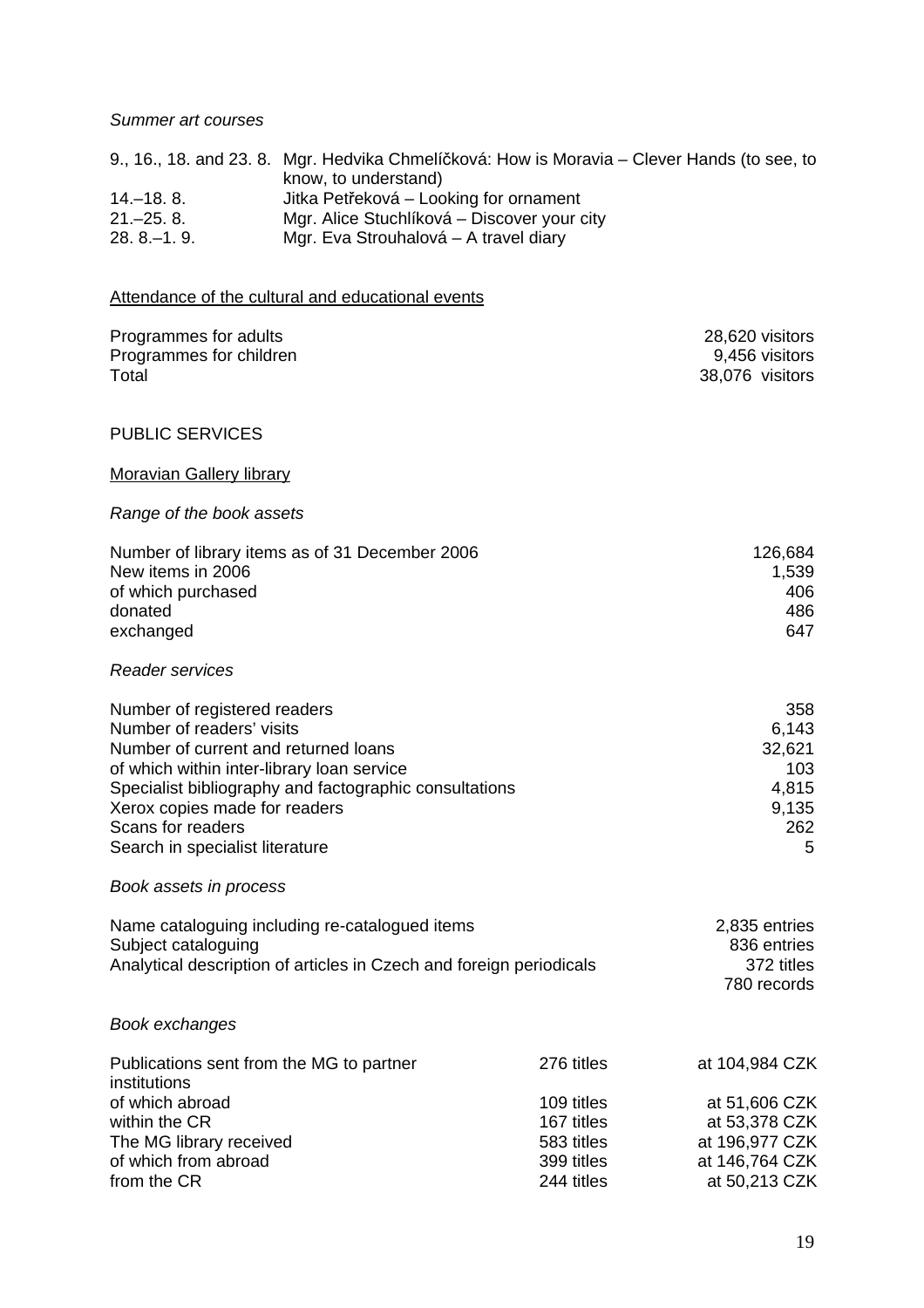#### *Summer art courses*

|               | 9., 16., 18. and 23. 8. Mgr. Hedvika Chmelíčková: How is Moravia – Clever Hands (to see, to |
|---------------|---------------------------------------------------------------------------------------------|
|               | know, to understand)                                                                        |
| $14 - 18.8$ . | Jitka Petřeková – Looking for ornament                                                      |
| $21 - 25.8$   | Mgr. Alice Stuchlíková – Discover your city                                                 |
| $28.8 - 1.9$  | Mgr. Eva Strouhalová – A travel diary                                                       |

# Attendance of the cultural and educational events

| Programmes for adults<br>Programmes for children<br>Total                                                                                                                                                                                                                                          |                                                                    | 28,620 visitors<br>9,456 visitors<br>38,076 visitors                                 |
|----------------------------------------------------------------------------------------------------------------------------------------------------------------------------------------------------------------------------------------------------------------------------------------------------|--------------------------------------------------------------------|--------------------------------------------------------------------------------------|
| <b>PUBLIC SERVICES</b>                                                                                                                                                                                                                                                                             |                                                                    |                                                                                      |
| <b>Moravian Gallery library</b>                                                                                                                                                                                                                                                                    |                                                                    |                                                                                      |
| Range of the book assets                                                                                                                                                                                                                                                                           |                                                                    |                                                                                      |
| Number of library items as of 31 December 2006<br>New items in 2006<br>of which purchased<br>donated<br>exchanged                                                                                                                                                                                  |                                                                    | 126,684<br>1,539<br>406<br>486<br>647                                                |
| <b>Reader services</b>                                                                                                                                                                                                                                                                             |                                                                    |                                                                                      |
| Number of registered readers<br>Number of readers' visits<br>Number of current and returned loans<br>of which within inter-library loan service<br>Specialist bibliography and factographic consultations<br>Xerox copies made for readers<br>Scans for readers<br>Search in specialist literature |                                                                    | 358<br>6,143<br>32,621<br>103<br>4,815<br>9,135<br>262<br>5                          |
| Book assets in process                                                                                                                                                                                                                                                                             |                                                                    |                                                                                      |
| Name cataloguing including re-catalogued items<br>Subject cataloguing<br>Analytical description of articles in Czech and foreign periodicals                                                                                                                                                       |                                                                    | 2,835 entries<br>836 entries<br>372 titles<br>780 records                            |
| Book exchanges                                                                                                                                                                                                                                                                                     |                                                                    |                                                                                      |
| Publications sent from the MG to partner<br>institutions<br>of which abroad<br>within the CR<br>The MG library received<br>of which from abroad                                                                                                                                                    | 276 titles<br>109 titles<br>167 titles<br>583 titles<br>399 titles | at 104,984 CZK<br>at 51,606 CZK<br>at 53,378 CZK<br>at 196,977 CZK<br>at 146,764 CZK |
| from the CR                                                                                                                                                                                                                                                                                        | 244 titles                                                         | at 50,213 CZK                                                                        |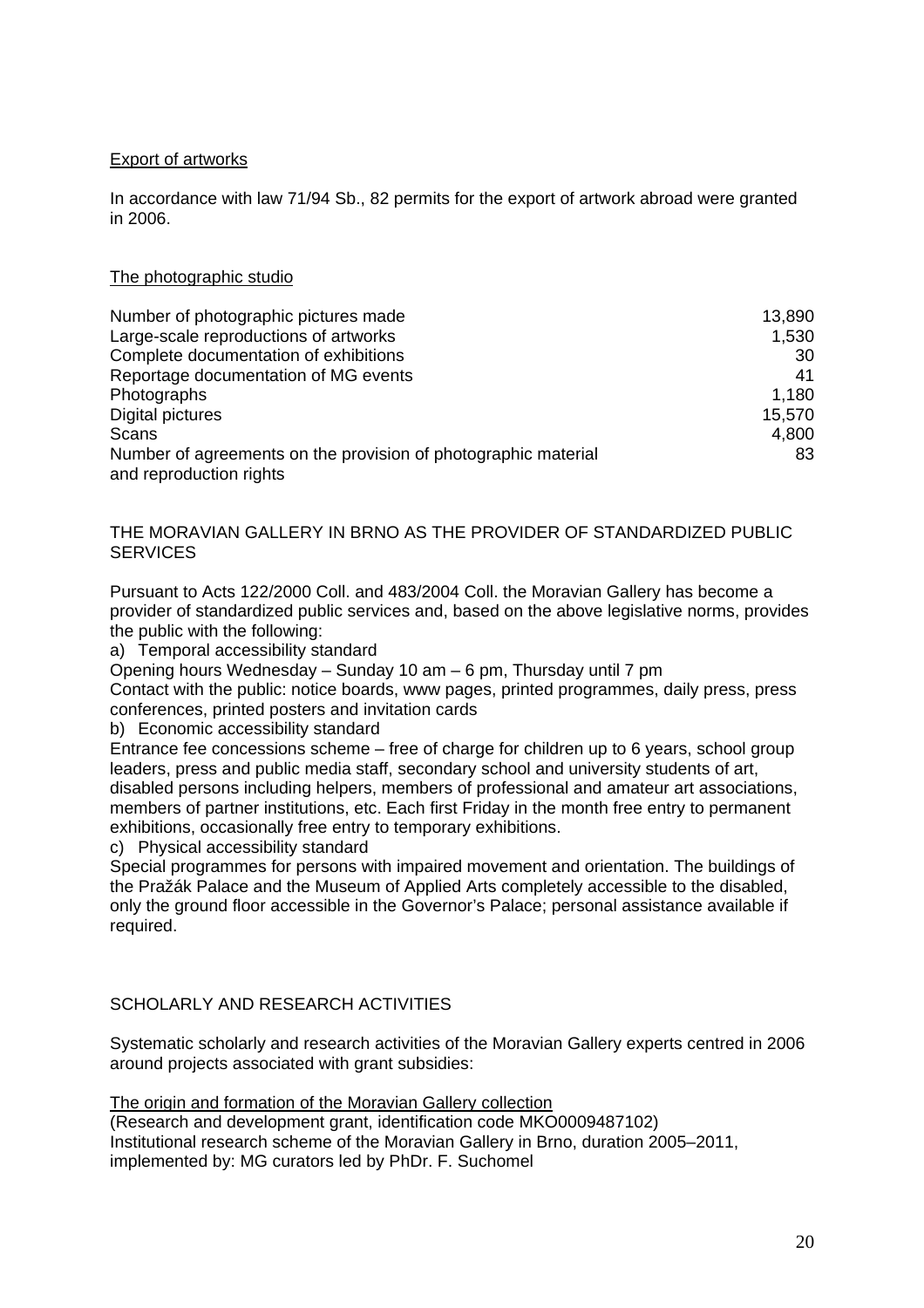# Export of artworks

In accordance with law 71/94 Sb., 82 permits for the export of artwork abroad were granted in 2006.

#### The photographic studio

| Number of photographic pictures made                                                      | 13,890 |
|-------------------------------------------------------------------------------------------|--------|
| Large-scale reproductions of artworks                                                     | 1,530  |
| Complete documentation of exhibitions                                                     | 30     |
| Reportage documentation of MG events                                                      | 41     |
| Photographs                                                                               | 1,180  |
| Digital pictures                                                                          | 15,570 |
| Scans                                                                                     | 4,800  |
| Number of agreements on the provision of photographic material<br>and reproduction rights | 83     |

#### THE MORAVIAN GALLERY IN BRNO AS THE PROVIDER OF STANDARDIZED PUBLIC **SERVICES**

Pursuant to Acts 122/2000 Coll. and 483/2004 Coll. the Moravian Gallery has become a provider of standardized public services and, based on the above legislative norms, provides the public with the following:

a) Temporal accessibility standard

Opening hours Wednesday – Sunday 10 am – 6 pm, Thursday until 7 pm

Contact with the public: notice boards, www pages, printed programmes, daily press, press conferences, printed posters and invitation cards

b) Economic accessibility standard

Entrance fee concessions scheme – free of charge for children up to 6 years, school group leaders, press and public media staff, secondary school and university students of art, disabled persons including helpers, members of professional and amateur art associations, members of partner institutions, etc. Each first Friday in the month free entry to permanent exhibitions, occasionally free entry to temporary exhibitions.

c) Physical accessibility standard

Special programmes for persons with impaired movement and orientation. The buildings of the Pražák Palace and the Museum of Applied Arts completely accessible to the disabled, only the ground floor accessible in the Governor's Palace; personal assistance available if required.

# SCHOLARLY AND RESEARCH ACTIVITIES

Systematic scholarly and research activities of the Moravian Gallery experts centred in 2006 around projects associated with grant subsidies:

The origin and formation of the Moravian Gallery collection

(Research and development grant, identification code MKO0009487102) Institutional research scheme of the Moravian Gallery in Brno, duration 2005–2011, implemented by: MG curators led by PhDr. F. Suchomel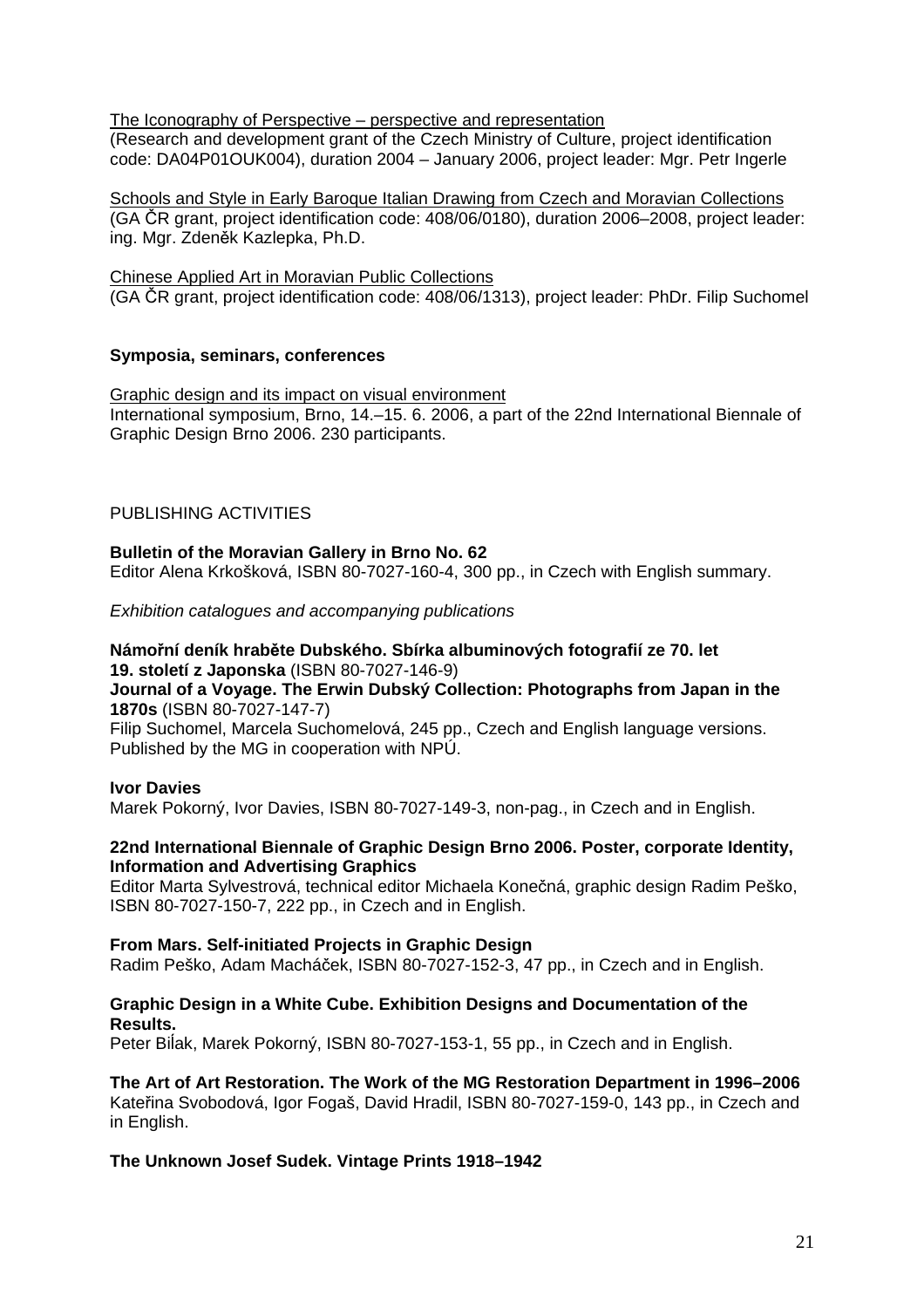The Iconography of Perspective – perspective and representation (Research and development grant of the Czech Ministry of Culture, project identification

code: DA04P01OUK004), duration 2004 – January 2006, project leader: Mgr. Petr Ingerle

Schools and Style in Early Baroque Italian Drawing from Czech and Moravian Collections (GA ČR grant, project identification code: 408/06/0180), duration 2006–2008, project leader: ing. Mgr. Zdeněk Kazlepka, Ph.D.

Chinese Applied Art in Moravian Public Collections (GA ČR grant, project identification code: 408/06/1313), project leader: PhDr. Filip Suchomel

#### **Symposia, seminars, conferences**

Graphic design and its impact on visual environment International symposium, Brno, 14.–15. 6. 2006, a part of the 22nd International Biennale of Graphic Design Brno 2006. 230 participants.

# PUBLISHING ACTIVITIES

#### **Bulletin of the Moravian Gallery in Brno No. 62**

Editor Alena Krkošková, ISBN 80-7027-160-4, 300 pp., in Czech with English summary.

*Exhibition catalogues and accompanying publications* 

# **Námořní deník hraběte Dubského. Sbírka albuminových fotografií ze 70. let**

**19. století z Japonska** (ISBN 80-7027-146-9)

#### **Journal of a Voyage. The Erwin Dubský Collection: Photographs from Japan in the 1870s** (ISBN 80-7027-147-7)

Filip Suchomel, Marcela Suchomelová, 245 pp., Czech and English language versions. Published by the MG in cooperation with NPÚ.

#### **Ivor Davies**

Marek Pokorný, Ivor Davies, ISBN 80-7027-149-3, non-pag., in Czech and in English.

#### **22nd International Biennale of Graphic Design Brno 2006. Poster, corporate Identity, Information and Advertising Graphics**

Editor Marta Sylvestrová, technical editor Michaela Konečná, graphic design Radim Peško, ISBN 80-7027-150-7, 222 pp., in Czech and in English.

#### **From Mars. Self-initiated Projects in Graphic Design**

Radim Peško, Adam Macháček, ISBN 80-7027-152-3, 47 pp., in Czech and in English.

#### **Graphic Design in a White Cube. Exhibition Designs and Documentation of the Results.**

Peter Biĺak, Marek Pokorný, ISBN 80-7027-153-1, 55 pp., in Czech and in English.

**The Art of Art Restoration. The Work of the MG Restoration Department in 1996–2006**  Kateřina Svobodová, Igor Fogaš, David Hradil, ISBN 80-7027-159-0, 143 pp., in Czech and in English.

#### **The Unknown Josef Sudek. Vintage Prints 1918–1942**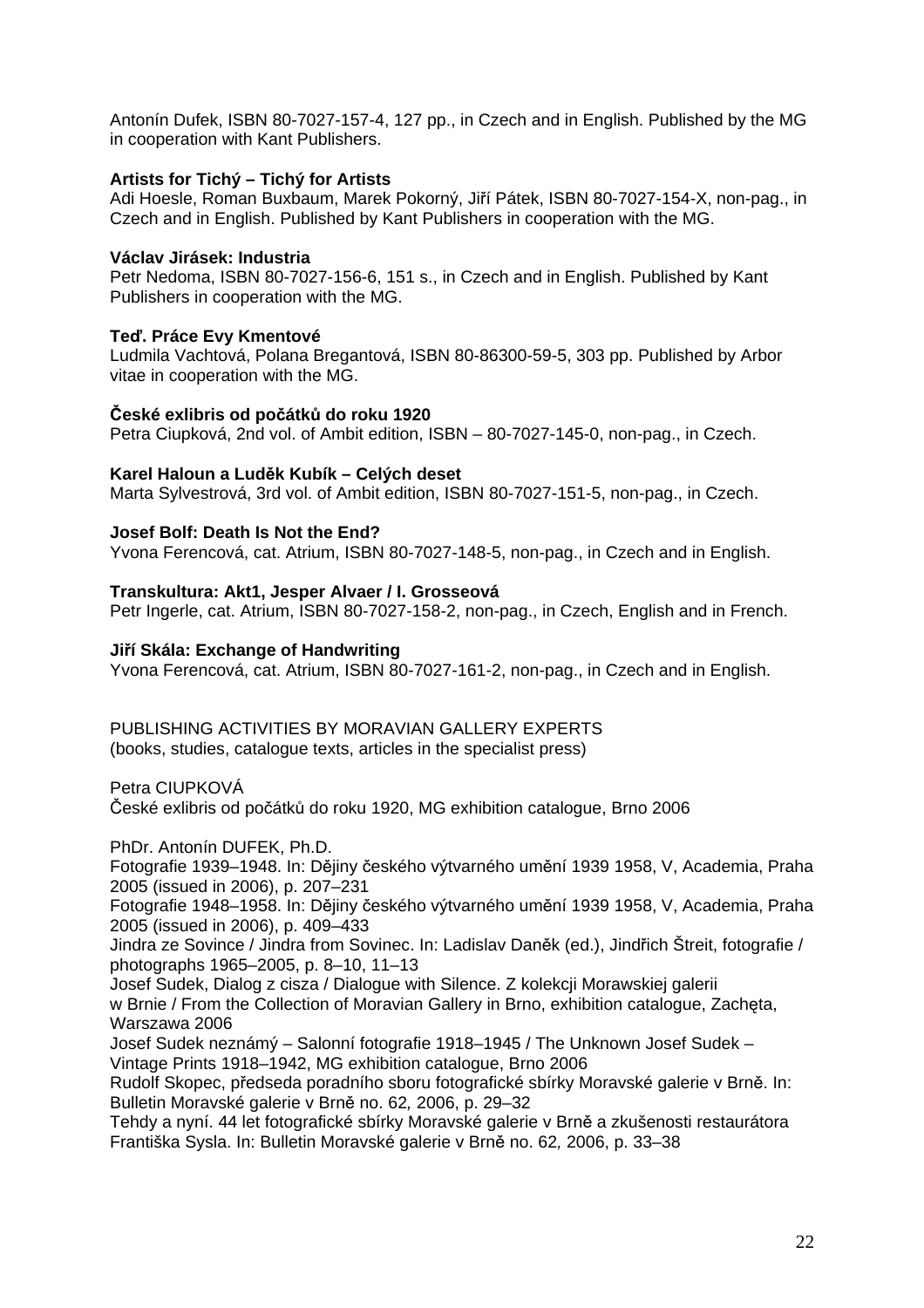Antonín Dufek, ISBN 80-7027-157-4, 127 pp., in Czech and in English. Published by the MG in cooperation with Kant Publishers.

#### **Artists for Tichý – Tichý for Artists**

Adi Hoesle, Roman Buxbaum, Marek Pokorný, Jiří Pátek, ISBN 80-7027-154-X, non-pag., in Czech and in English. Published by Kant Publishers in cooperation with the MG.

# **Václav Jirásek: Industria**

Petr Nedoma, ISBN 80-7027-156-6, 151 s., in Czech and in English. Published by Kant Publishers in cooperation with the MG.

# **Teď. Práce Evy Kmentové**

Ludmila Vachtová, Polana Bregantová, ISBN 80-86300-59-5, 303 pp. Published by Arbor vitae in cooperation with the MG.

#### **České exlibris od počátků do roku 1920**

Petra Ciupková, 2nd vol. of Ambit edition, ISBN – 80-7027-145-0, non-pag., in Czech.

# **Karel Haloun a Luděk Kubík – Celých deset**

Marta Sylvestrová, 3rd vol. of Ambit edition, ISBN 80-7027-151-5, non-pag., in Czech.

# **Josef Bolf: Death Is Not the End?**

Yvona Ferencová, cat. Atrium, ISBN 80-7027-148-5, non-pag., in Czech and in English.

# **Transkultura: Akt1, Jesper Alvaer / I. Grosseová**

Petr Ingerle, cat. Atrium, ISBN 80-7027-158-2, non-pag., in Czech, English and in French.

#### **Jiří Skála: Exchange of Handwriting**

Yvona Ferencová, cat. Atrium, ISBN 80-7027-161-2, non-pag., in Czech and in English.

#### PUBLISHING ACTIVITIES BY MORAVIAN GALLERY EXPERTS (books, studies, catalogue texts, articles in the specialist press)

Petra CIUPKOVÁ České exlibris od počátků do roku 1920, MG exhibition catalogue, Brno 2006

PhDr. Antonín DUFEK, Ph.D.

Fotografie 1939–1948. In: Dějiny českého výtvarného umění 1939 1958, V, Academia, Praha 2005 (issued in 2006), p. 207–231

Fotografie 1948–1958. In: Dějiny českého výtvarného umění 1939 1958, V, Academia, Praha 2005 (issued in 2006), p. 409–433

Jindra ze Sovince / Jindra from Sovinec. In: Ladislav Daněk (ed.), Jindřich Štreit, fotografie / photographs 1965–2005, p. 8–10, 11–13

Josef Sudek, Dialog z cisza / Dialogue with Silence. Z kolekcji Morawskiej galerii w Brnie / From the Collection of Moravian Gallery in Brno, exhibition catalogue, Zachęta, Warszawa 2006

Josef Sudek neznámý – Salonní fotografie 1918–1945 / The Unknown Josef Sudek – Vintage Prints 1918–1942, MG exhibition catalogue, Brno 2006

Rudolf Skopec, předseda poradního sboru fotografické sbírky Moravské galerie v Brně. In: Bulletin Moravské galerie v Brně no. 62*,* 2006, p. 29–32

Tehdy a nyní. 44 let fotografické sbírky Moravské galerie v Brně a zkušenosti restaurátora Františka Sysla. In: Bulletin Moravské galerie v Brně no. 62*,* 2006, p. 33–38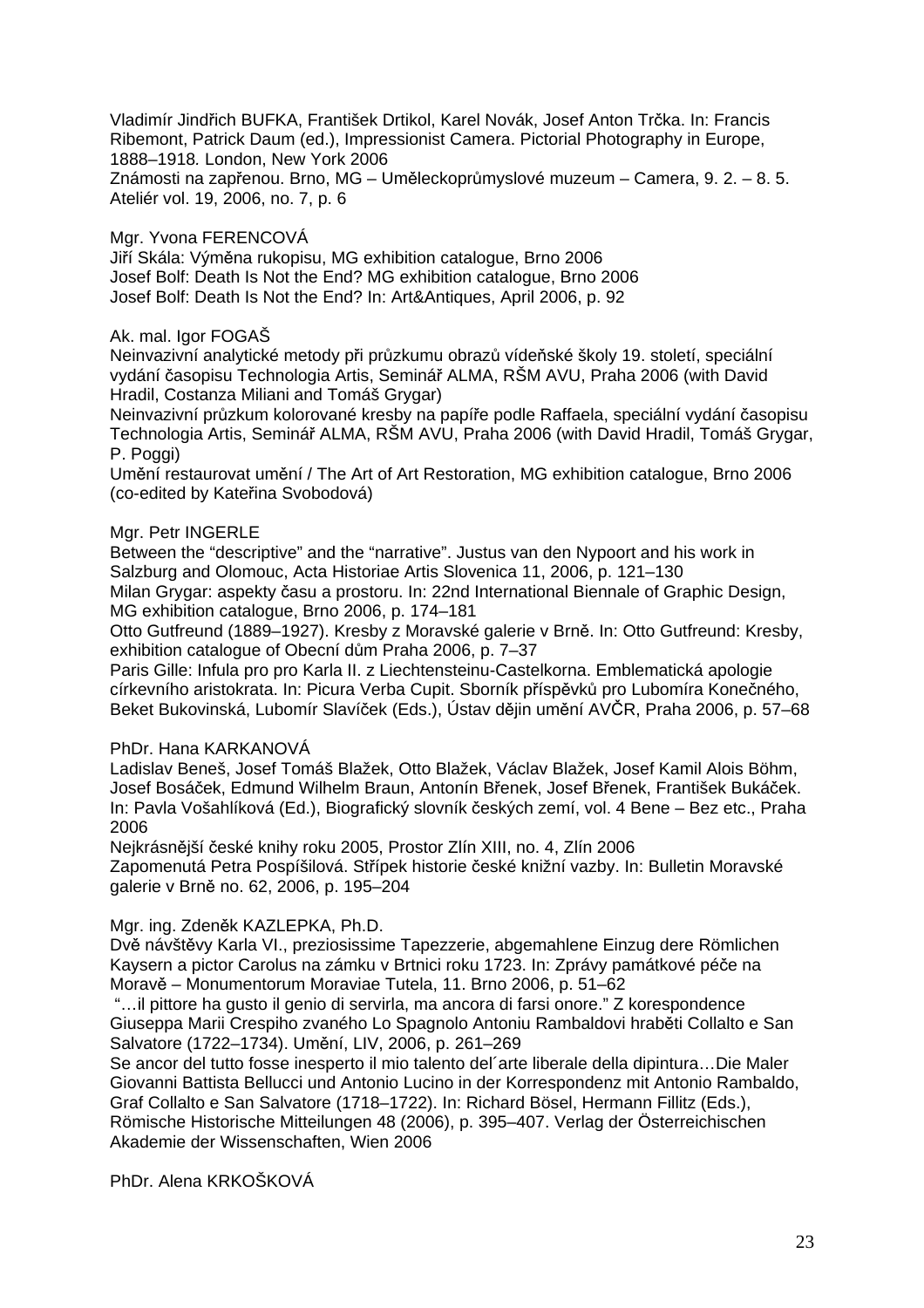Vladimír Jindřich BUFKA, František Drtikol, Karel Novák, Josef Anton Trčka. In: Francis Ribemont, Patrick Daum (ed.), Impressionist Camera. Pictorial Photography in Europe, 1888–1918*.* London, New York 2006

Známosti na zapřenou. Brno, MG – Uměleckoprůmyslové muzeum – Camera, 9. 2. – 8. 5. Ateliér vol. 19, 2006, no. 7, p. 6

# Mgr. Yvona FERENCOVÁ

Jiří Skála: Výměna rukopisu, MG exhibition catalogue, Brno 2006 Josef Bolf: Death Is Not the End? MG exhibition catalogue, Brno 2006 Josef Bolf: Death Is Not the End? In: Art&Antiques, April 2006, p. 92

### Ak. mal. Igor FOGAŠ

Neinvazivní analytické metody při průzkumu obrazů vídeňské školy 19. století, speciální vydání časopisu Technologia Artis, Seminář ALMA, RŠM AVU, Praha 2006 (with David Hradil, Costanza Miliani and Tomáš Grygar)

Neinvazivní průzkum kolorované kresby na papíře podle Raffaela, speciální vydání časopisu Technologia Artis, Seminář ALMA, RŠM AVU, Praha 2006 (with David Hradil, Tomáš Grygar, P. Poggi)

Umění restaurovat umění / The Art of Art Restoration, MG exhibition catalogue, Brno 2006 (co-edited by Kateřina Svobodová)

#### Mgr. Petr INGERLE

Between the "descriptive" and the "narrative". Justus van den Nypoort and his work in Salzburg and Olomouc, Acta Historiae Artis Slovenica 11, 2006, p. 121–130

Milan Grygar: aspekty času a prostoru. In: 22nd International Biennale of Graphic Design, MG exhibition catalogue, Brno 2006, p. 174–181

Otto Gutfreund (1889–1927). Kresby z Moravské galerie v Brně. In: Otto Gutfreund: Kresby, exhibition catalogue of Obecní dům Praha 2006, p. 7–37

Paris Gille: Infula pro pro Karla II. z Liechtensteinu-Castelkorna. Emblematická apologie církevního aristokrata. In: Picura Verba Cupit. Sborník příspěvků pro Lubomíra Konečného, Beket Bukovinská, Lubomír Slavíček (Eds.), Ústav dějin umění AVČR, Praha 2006, p. 57–68

#### PhDr. Hana KARKANOVÁ

Ladislav Beneš, Josef Tomáš Blažek, Otto Blažek, Václav Blažek, Josef Kamil Alois Böhm, Josef Bosáček, Edmund Wilhelm Braun, Antonín Břenek, Josef Břenek, František Bukáček. In: Pavla Vošahlíková (Ed.), Biografický slovník českých zemí, vol. 4 Bene – Bez etc., Praha 2006

Nejkrásnější české knihy roku 2005, Prostor Zlín XIII, no. 4, Zlín 2006 Zapomenutá Petra Pospíšilová. Střípek historie české knižní vazby. In: Bulletin Moravské galerie v Brně no. 62, 2006, p. 195–204

#### Mgr. ing. Zdeněk KAZLEPKA, Ph.D.

Dvě návštěvy Karla VI., preziosissime Tapezzerie, abgemahlene Einzug dere Römlichen Kaysern a pictor Carolus na zámku v Brtnici roku 1723. In: Zprávy památkové péče na Moravě – Monumentorum Moraviae Tutela, 11. Brno 2006, p. 51–62

 "…il pittore ha gusto il genio di servirla, ma ancora di farsi onore." Z korespondence Giuseppa Marii Crespiho zvaného Lo Spagnolo Antoniu Rambaldovi hraběti Collalto e San Salvatore (1722–1734). Umění, LIV, 2006, p. 261–269

Se ancor del tutto fosse inesperto il mio talento del´arte liberale della dipintura…Die Maler Giovanni Battista Bellucci und Antonio Lucino in der Korrespondenz mit Antonio Rambaldo, Graf Collalto e San Salvatore (1718–1722). In: Richard Bösel, Hermann Fillitz (Eds.), Römische Historische Mitteilungen 48 (2006), p. 395–407. Verlag der Österreichischen Akademie der Wissenschaften, Wien 2006

PhDr. Alena KRKOŠKOVÁ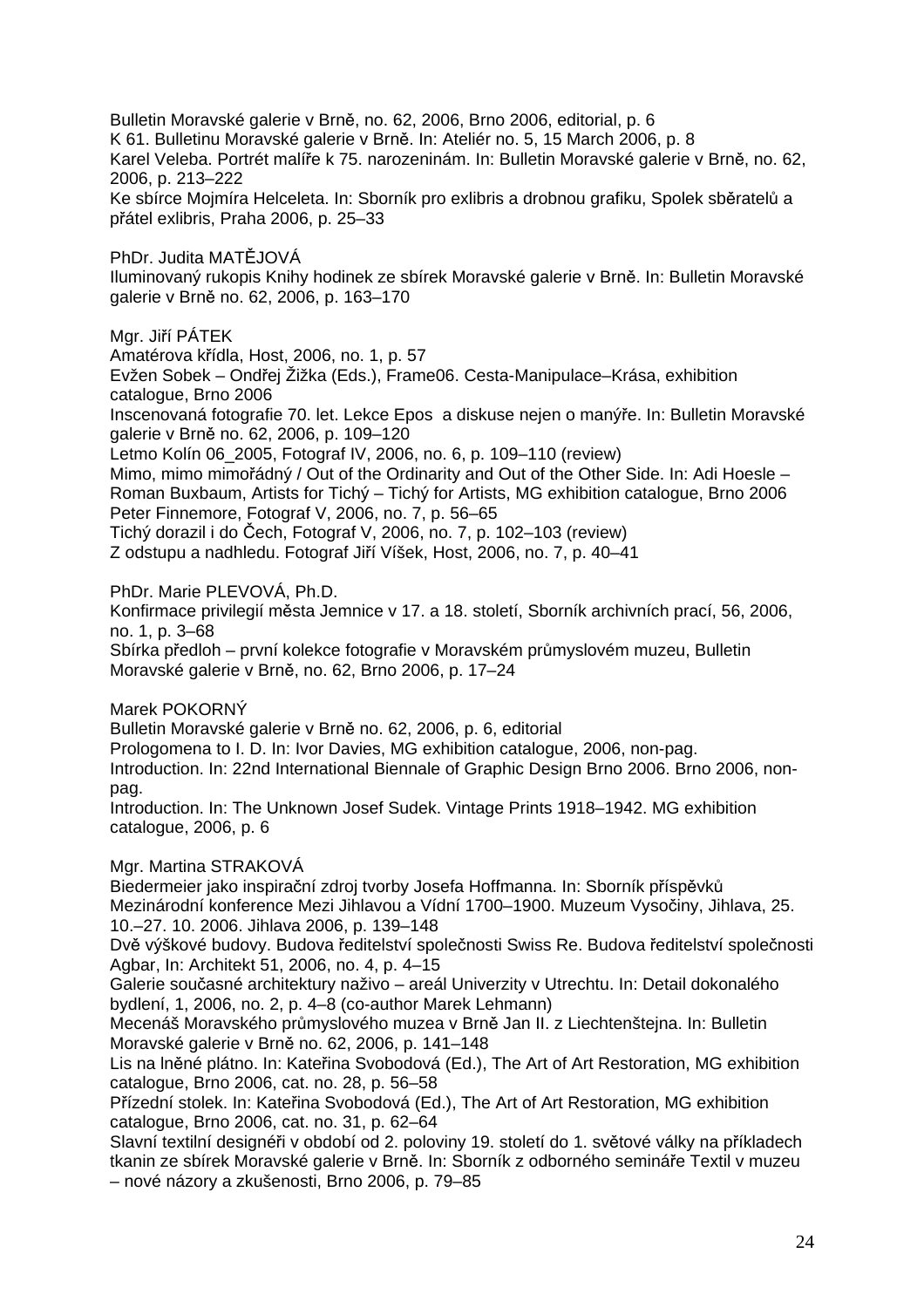Bulletin Moravské galerie v Brně, no. 62, 2006, Brno 2006, editorial, p. 6 K 61. Bulletinu Moravské galerie v Brně. In: Ateliér no. 5, 15 March 2006, p. 8 Karel Veleba. Portrét malíře k 75. narozeninám. In: Bulletin Moravské galerie v Brně, no. 62, 2006, p. 213–222 Ke sbírce Mojmíra Helceleta. In: Sborník pro exlibris a drobnou grafiku, Spolek sběratelů a přátel exlibris, Praha 2006, p. 25–33

PhDr. Judita MATĚJOVÁ Iluminovaný rukopis Knihy hodinek ze sbírek Moravské galerie v Brně. In: Bulletin Moravské galerie v Brně no. 62, 2006, p. 163–170

Mgr. Jiří PÁTEK

Amatérova křídla, Host, 2006, no. 1, p. 57

Evžen Sobek – Ondřej Žižka (Eds.), Frame06. Cesta-Manipulace–Krása, exhibition catalogue, Brno 2006

Inscenovaná fotografie 70. let. Lekce Epos a diskuse nejen o manýře. In: Bulletin Moravské galerie v Brně no. 62, 2006, p. 109–120

Letmo Kolín 06\_2005, Fotograf IV, 2006, no. 6, p. 109–110 (review)

Mimo, mimo mimořádný / Out of the Ordinarity and Out of the Other Side. In: Adi Hoesle – Roman Buxbaum, Artists for Tichý – Tichý for Artists, MG exhibition catalogue, Brno 2006 Peter Finnemore, Fotograf V, 2006, no. 7, p. 56–65

Tichý dorazil i do Čech, Fotograf V, 2006, no. 7, p. 102–103 (review)

Z odstupu a nadhledu. Fotograf Jiří Víšek, Host, 2006, no. 7, p. 40–41

PhDr. Marie PLEVOVÁ, Ph.D.

Konfirmace privilegií města Jemnice v 17. a 18. století, Sborník archivních prací, 56, 2006, no. 1, p. 3–68

Sbírka předloh – první kolekce fotografie v Moravském průmyslovém muzeu, Bulletin Moravské galerie v Brně, no. 62, Brno 2006, p. 17–24

Marek POKORNÝ

Bulletin Moravské galerie v Brně no. 62, 2006, p. 6, editorial Prologomena to I. D. In: Ivor Davies, MG exhibition catalogue, 2006, non-pag. Introduction. In: 22nd International Biennale of Graphic Design Brno 2006. Brno 2006, nonpag.

Introduction. In: The Unknown Josef Sudek. Vintage Prints 1918–1942. MG exhibition catalogue, 2006, p. 6

Mgr. Martina STRAKOVÁ

Biedermeier jako inspirační zdroj tvorby Josefa Hoffmanna. In: Sborník příspěvků Mezinárodní konference Mezi Jihlavou a Vídní 1700–1900. Muzeum Vysočiny, Jihlava, 25. 10.–27. 10. 2006. Jihlava 2006, p. 139–148

Dvě výškové budovy. Budova ředitelství společnosti Swiss Re. Budova ředitelství společnosti Agbar, In: Architekt 51, 2006, no. 4, p. 4–15

Galerie současné architektury naživo – areál Univerzity v Utrechtu. In: Detail dokonalého bydlení, 1, 2006, no. 2, p. 4–8 (co-author Marek Lehmann)

Mecenáš Moravského průmyslového muzea v Brně Jan II. z Liechtenštejna. In: Bulletin Moravské galerie v Brně no. 62, 2006, p. 141–148

Lis na lněné plátno. In: Kateřina Svobodová (Ed.), The Art of Art Restoration, MG exhibition catalogue, Brno 2006, cat. no. 28, p. 56–58

Přízední stolek. In: Kateřina Svobodová (Ed.), The Art of Art Restoration, MG exhibition catalogue, Brno 2006, cat. no. 31, p. 62–64

Slavní textilní designéři v období od 2. poloviny 19. století do 1. světové války na příkladech tkanin ze sbírek Moravské galerie v Brně. In: Sborník z odborného semináře Textil v muzeu – nové názory a zkušenosti, Brno 2006, p. 79–85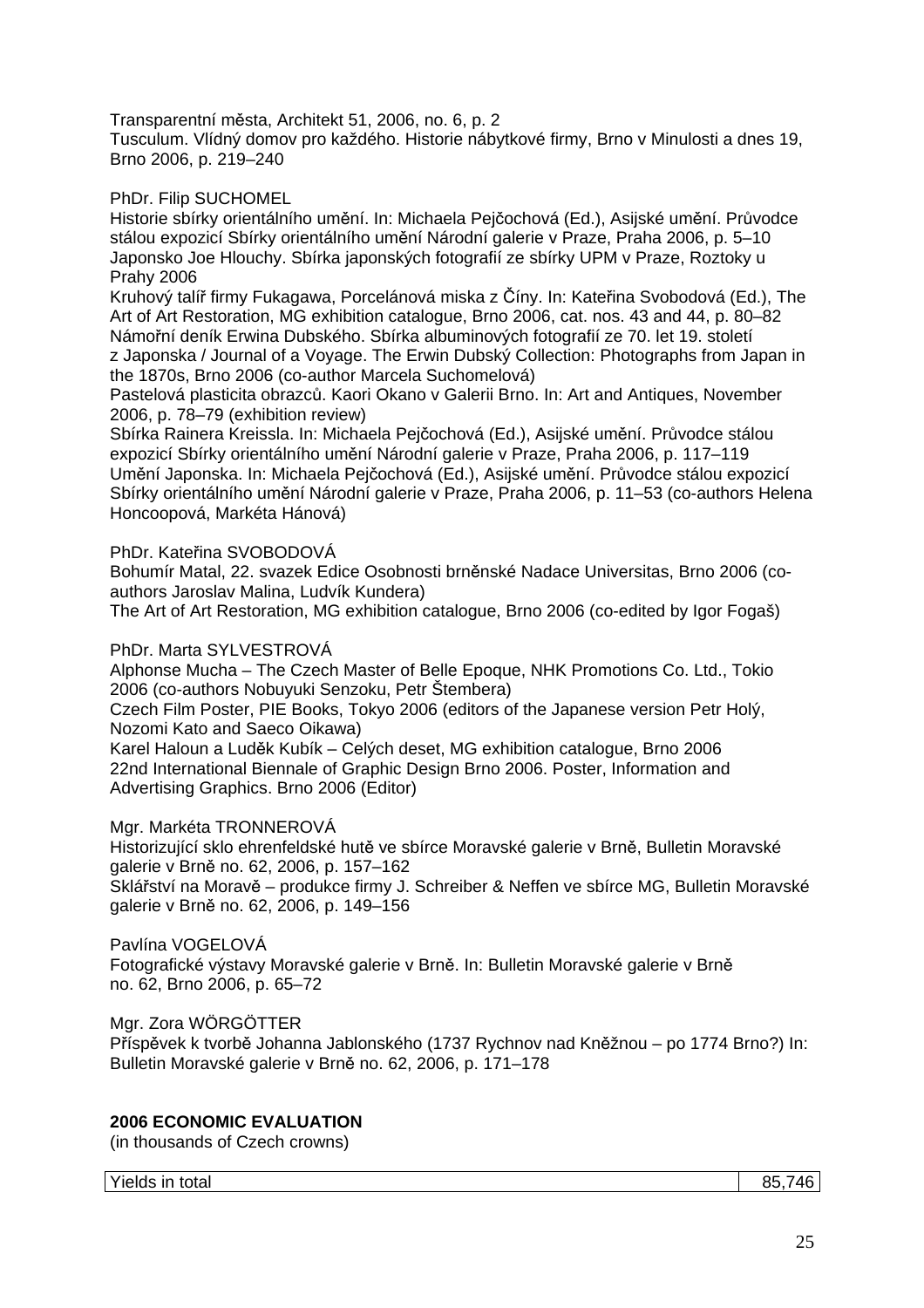Transparentní města, Architekt 51, 2006, no. 6, p. 2

Tusculum. Vlídný domov pro každého. Historie nábytkové firmy, Brno v Minulosti a dnes 19, Brno 2006, p. 219–240

PhDr. Filip SUCHOMEL

Historie sbírky orientálního umění. In: Michaela Pejčochová (Ed.), Asijské umění. Průvodce stálou expozicí Sbírky orientálního umění Národní galerie v Praze, Praha 2006, p. 5–10 Japonsko Joe Hlouchy. Sbírka japonských fotografií ze sbírky UPM v Praze, Roztoky u Prahy 2006

Kruhový talíř firmy Fukagawa, Porcelánová miska z Číny. In: Kateřina Svobodová (Ed.), The Art of Art Restoration, MG exhibition catalogue, Brno 2006, cat. nos. 43 and 44, p. 80–82 Námořní deník Erwina Dubského. Sbírka albuminových fotografií ze 70. let 19. století z Japonska / Journal of a Voyage. The Erwin Dubský Collection: Photographs from Japan in the 1870s, Brno 2006 (co-author Marcela Suchomelová)

Pastelová plasticita obrazců. Kaori Okano v Galerii Brno. In: Art and Antiques, November 2006, p. 78–79 (exhibition review)

Sbírka Rainera Kreissla. In: Michaela Pejčochová (Ed.), Asijské umění. Průvodce stálou expozicí Sbírky orientálního umění Národní galerie v Praze, Praha 2006, p. 117–119 Umění Japonska. In: Michaela Pejčochová (Ed.), Asijské umění. Průvodce stálou expozicí Sbírky orientálního umění Národní galerie v Praze, Praha 2006, p. 11–53 (co-authors Helena Honcoopová, Markéta Hánová)

PhDr. Kateřina SVOBODOVÁ

Bohumír Matal, 22. svazek Edice Osobnosti brněnské Nadace Universitas, Brno 2006 (coauthors Jaroslav Malina, Ludvík Kundera)

The Art of Art Restoration, MG exhibition catalogue, Brno 2006 (co-edited by Igor Fogaš)

PhDr. Marta SYLVESTROVÁ

Alphonse Mucha – The Czech Master of Belle Epoque, NHK Promotions Co. Ltd., Tokio 2006 (co-authors Nobuyuki Senzoku, Petr Štembera)

Czech Film Poster, PIE Books, Tokyo 2006 (editors of the Japanese version Petr Holý, Nozomi Kato and Saeco Oikawa)

Karel Haloun a Luděk Kubík – Celých deset, MG exhibition catalogue, Brno 2006 22nd International Biennale of Graphic Design Brno 2006. Poster, Information and Advertising Graphics. Brno 2006 (Editor)

Mgr. Markéta TRONNEROVÁ

Historizující sklo ehrenfeldské hutě ve sbírce Moravské galerie v Brně, Bulletin Moravské galerie v Brně no. 62, 2006, p. 157–162

Sklářství na Moravě – produkce firmy J. Schreiber & Neffen ve sbírce MG, Bulletin Moravské galerie v Brně no. 62, 2006, p. 149–156

Pavlína VOGELOVÁ

Fotografické výstavy Moravské galerie v Brně. In: Bulletin Moravské galerie v Brně no. 62, Brno 2006, p. 65–72

Mgr. Zora WÖRGÖTTER

Příspěvek k tvorbě Johanna Jablonského (1737 Rychnov nad Kněžnou – po 1774 Brno?) In: Bulletin Moravské galerie v Brně no. 62, 2006, p. 171–178

#### **2006 ECONOMIC EVALUATION**

(in thousands of Czech crowns)

Yields in total 85,746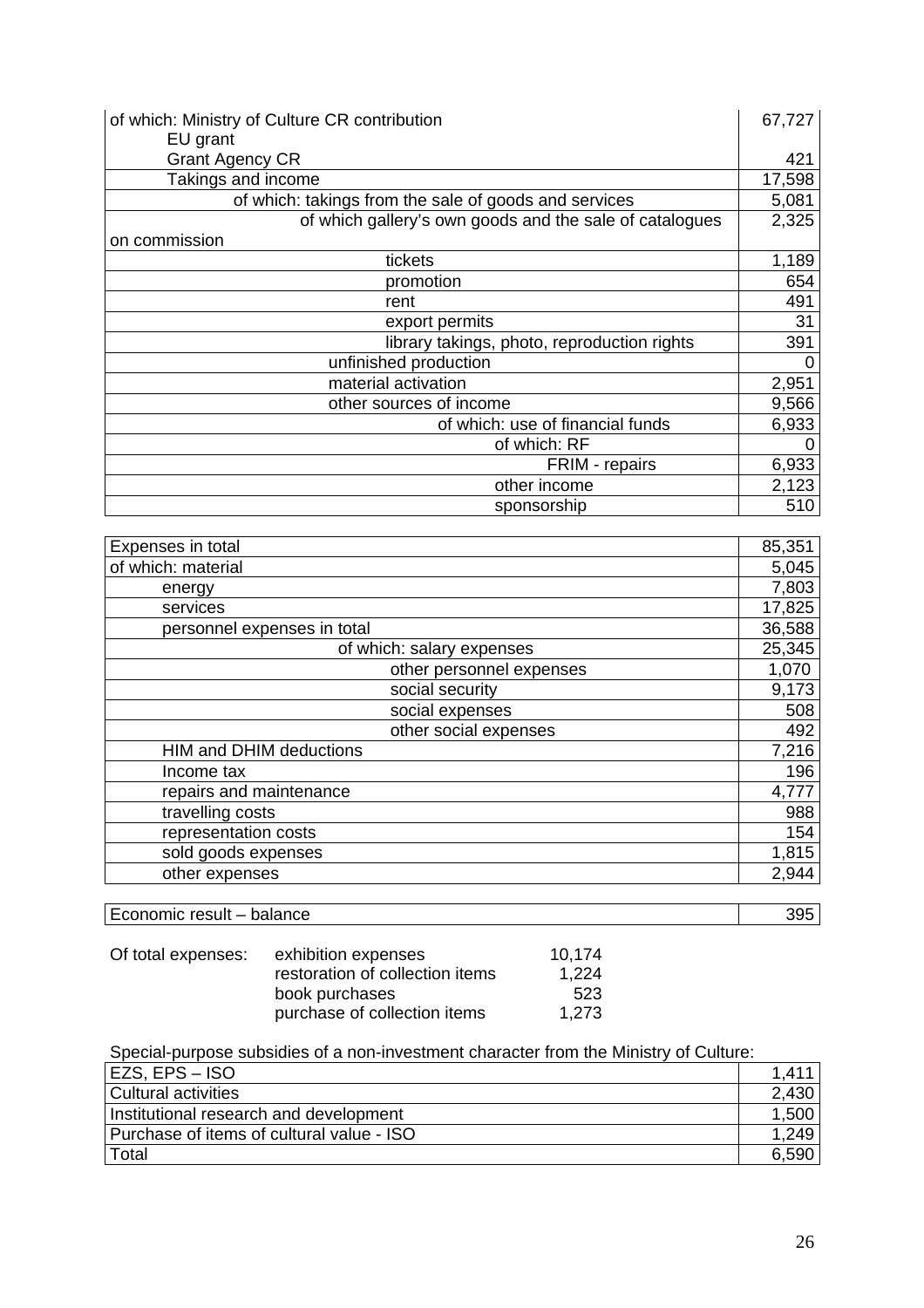| of which: Ministry of Culture CR contribution           | 67,727 |
|---------------------------------------------------------|--------|
| EU grant                                                |        |
| <b>Grant Agency CR</b>                                  | 421    |
| Takings and income                                      | 17,598 |
| of which: takings from the sale of goods and services   | 5,081  |
| of which gallery's own goods and the sale of catalogues | 2,325  |
| on commission                                           |        |
| tickets                                                 | 1,189  |
| promotion                                               | 654    |
| rent                                                    | 491    |
| export permits                                          | 31     |
| library takings, photo, reproduction rights             | 391    |
| unfinished production                                   | 0      |
| material activation                                     | 2,951  |
| other sources of income                                 | 9,566  |
| of which: use of financial funds                        | 6,933  |
| of which: RF                                            | O      |
| FRIM - repairs                                          | 6,933  |
| other income                                            | 2,123  |
| sponsorship                                             | 510    |

| Expenses in total              | 85,351 |
|--------------------------------|--------|
| of which: material             | 5,045  |
| energy                         | 7,803  |
| services                       | 17,825 |
| personnel expenses in total    | 36,588 |
| of which: salary expenses      | 25,345 |
| other personnel expenses       | 1,070  |
| social security                | 9,173  |
| social expenses                | 508    |
| other social expenses          | 492    |
| <b>HIM and DHIM deductions</b> | 7,216  |
| Income tax                     | 196    |
| repairs and maintenance        | 4,777  |
| travelling costs               | 988    |
| representation costs           | 154    |
| sold goods expenses            | 1,815  |
| other expenses                 | 2,944  |

Economic result – balance 395

| Of total expenses: | exhibition expenses             | 10.174 |
|--------------------|---------------------------------|--------|
|                    | restoration of collection items | 1,224  |
|                    | book purchases                  | 523    |
|                    | purchase of collection items    | 1.273  |

Special-purpose subsidies of a non-investment character from the Ministry of Culture:

| EZS, EPS – ISO                            |       |
|-------------------------------------------|-------|
| Cultural activities                       | 2.430 |
| Institutional research and development    | 1,500 |
| Purchase of items of cultural value - ISO | 1.249 |
| Total                                     | 6.590 |